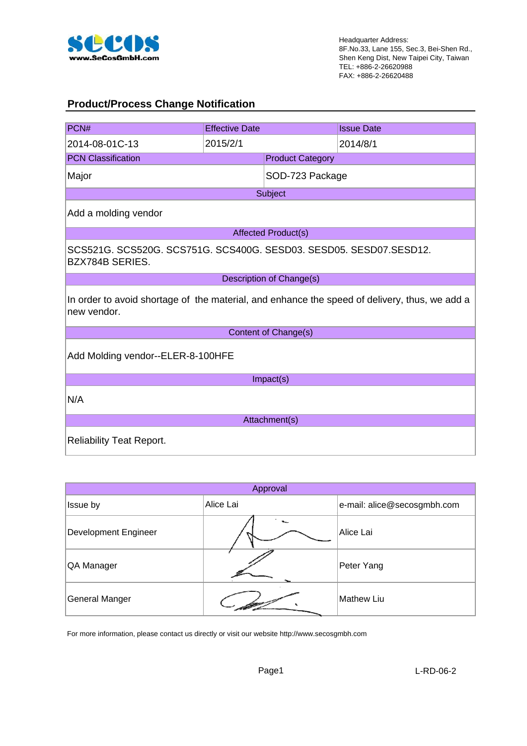

#### **Product/Process Change Notification**

| PCN#                                                                                                         | <b>Effective Date</b>             |                            | <b>Issue Date</b> |  |  |  |  |
|--------------------------------------------------------------------------------------------------------------|-----------------------------------|----------------------------|-------------------|--|--|--|--|
| 2014-08-01C-13                                                                                               | 2015/2/1                          |                            | 2014/8/1          |  |  |  |  |
| <b>PCN Classification</b>                                                                                    |                                   | <b>Product Category</b>    |                   |  |  |  |  |
| Major                                                                                                        |                                   | SOD-723 Package            |                   |  |  |  |  |
|                                                                                                              |                                   | Subject                    |                   |  |  |  |  |
| Add a molding vendor                                                                                         |                                   |                            |                   |  |  |  |  |
|                                                                                                              |                                   | <b>Affected Product(s)</b> |                   |  |  |  |  |
| SCS521G. SCS520G. SCS751G. SCS400G. SESD03. SESD05. SESD07.SESD12.<br><b>BZX784B SERIES.</b>                 |                                   |                            |                   |  |  |  |  |
|                                                                                                              |                                   | Description of Change(s)   |                   |  |  |  |  |
| In order to avoid shortage of the material, and enhance the speed of delivery, thus, we add a<br>new vendor. |                                   |                            |                   |  |  |  |  |
|                                                                                                              |                                   | Content of Change(s)       |                   |  |  |  |  |
|                                                                                                              | Add Molding vendor--ELER-8-100HFE |                            |                   |  |  |  |  |
|                                                                                                              |                                   | Impact(s)                  |                   |  |  |  |  |
| N/A                                                                                                          |                                   |                            |                   |  |  |  |  |
|                                                                                                              |                                   | Attachment(s)              |                   |  |  |  |  |
| <b>Reliability Teat Report.</b>                                                                              |                                   |                            |                   |  |  |  |  |

| Approval                    |           |                             |  |  |  |  |  |
|-----------------------------|-----------|-----------------------------|--|--|--|--|--|
| Issue by                    | Alice Lai | e-mail: alice@secosgmbh.com |  |  |  |  |  |
| <b>Development Engineer</b> |           | Alice Lai                   |  |  |  |  |  |
| QA Manager                  |           | Peter Yang                  |  |  |  |  |  |
| General Manger              |           | <b>Mathew Liu</b>           |  |  |  |  |  |

For more information, please contact us directly or visit our website http://www.secosgmbh.com

Page1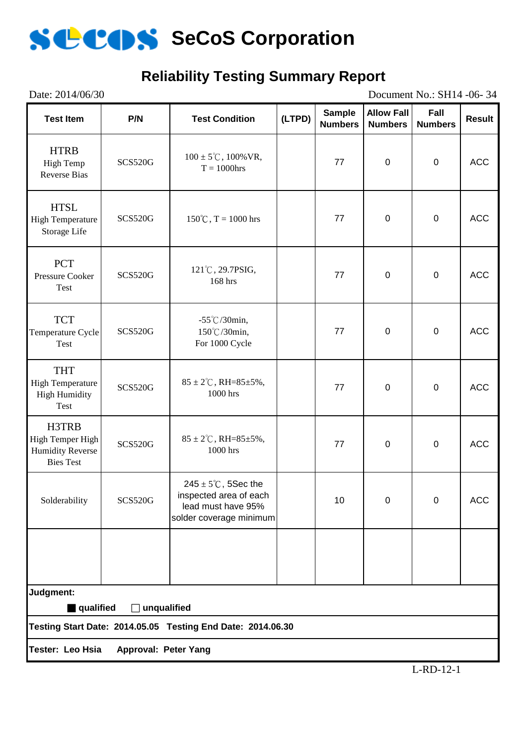

# **Reliability Testing Summary Report**

| Date: 2014/06/30<br>Document No.: SH14 -06-34                            |                      |                                                                                                            |        |                                 |                                     |                        |               |
|--------------------------------------------------------------------------|----------------------|------------------------------------------------------------------------------------------------------------|--------|---------------------------------|-------------------------------------|------------------------|---------------|
| <b>Test Item</b>                                                         | P/N                  | <b>Test Condition</b>                                                                                      | (LTPD) | <b>Sample</b><br><b>Numbers</b> | <b>Allow Fall</b><br><b>Numbers</b> | Fall<br><b>Numbers</b> | <b>Result</b> |
| <b>HTRB</b><br>High Temp<br><b>Reverse Bias</b>                          | <b>SCS520G</b>       | $100 \pm 5^{\circ}$ C, $100\%$ VR,<br>$T = 1000$ hrs                                                       |        | 77                              | $\pmb{0}$                           | $\pmb{0}$              | <b>ACC</b>    |
| <b>HTSL</b><br><b>High Temperature</b><br>Storage Life                   | <b>SCS520G</b>       | $150^{\circ}\textrm{C}$ , T = 1000 hrs                                                                     |        | 77                              | $\pmb{0}$                           | $\pmb{0}$              | <b>ACC</b>    |
| <b>PCT</b><br>Pressure Cooker<br>Test                                    | <b>SCS520G</b>       | 121°C, 29.7PSIG,<br>168 hrs                                                                                |        | 77                              | $\mathbf 0$                         | $\pmb{0}$              | <b>ACC</b>    |
| <b>TCT</b><br>Temperature Cycle<br>Test                                  | <b>SCS520G</b>       | $-55^{\circ}$ C/30min,<br>150℃/30min,<br>For 1000 Cycle                                                    |        | 77                              | $\pmb{0}$                           | $\mathbf 0$            | <b>ACC</b>    |
| <b>THT</b><br><b>High Temperature</b><br><b>High Humidity</b><br>Test    | <b>SCS520G</b>       | $85 \pm 2^{\circ}$ C, RH= $85 \pm 5\%$ ,<br>1000 hrs                                                       |        | 77                              | $\pmb{0}$                           | $\pmb{0}$              | <b>ACC</b>    |
| H3TRB<br>High Temper High<br><b>Humidity Reverse</b><br><b>Bies Test</b> | <b>SCS520G</b>       | $85 \pm 2^{\circ}$ C, RH= $85 \pm 5\%$ ,<br>1000 hrs                                                       |        | 77                              | $\pmb{0}$                           | $\pmb{0}$              | <b>ACC</b>    |
| Solderability                                                            | <b>SCS520G</b>       | $245 \pm 5^{\circ}$ C, 5Sec the<br>inspected area of each<br>lead must have 95%<br>solder coverage minimum |        | 10                              | 0                                   | $\Omega$               | <b>ACC</b>    |
|                                                                          |                      |                                                                                                            |        |                                 |                                     |                        |               |
| Judgment:<br>qualified                                                   | $\Box$ unqualified   |                                                                                                            |        |                                 |                                     |                        |               |
|                                                                          |                      | Testing Start Date: 2014.05.05 Testing End Date: 2014.06.30                                                |        |                                 |                                     |                        |               |
| Tester: Leo Hsia                                                         | Approval: Peter Yang |                                                                                                            |        |                                 |                                     |                        |               |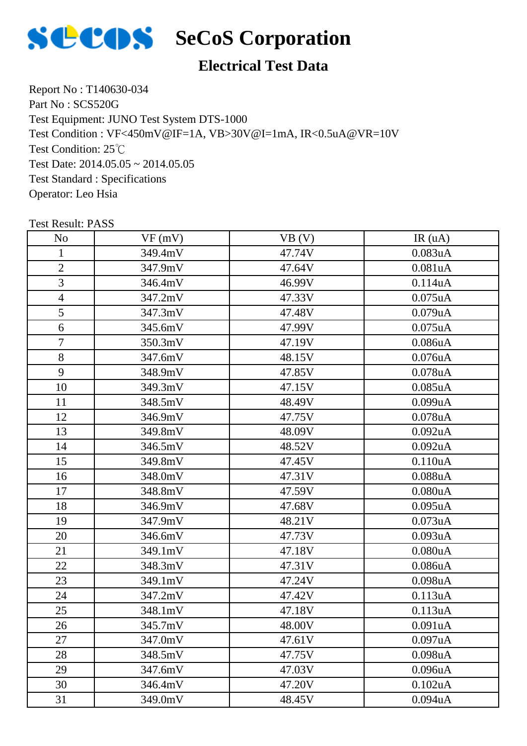

# **Electrical Test Data**

Report No : T140630-034 Part No : SCS520G Test Equipment: JUNO Test System DTS-1000 Test Condition: 25℃ Test Date: 2014.05.05 ~ 2014.05.05 Test Standard : Specifications Operator: Leo Hsia Test Condition : VF<450mV@IF=1A, VB>30V@I=1mA, IR<0.5uA@VR=10V

| N <sub>o</sub> | VF(mV)  | VB (V) | IR(uA)        |
|----------------|---------|--------|---------------|
| $\mathbf{1}$   | 349.4mV | 47.74V | 0.083uA       |
| $\overline{2}$ | 347.9mV | 47.64V | 0.081uA       |
| 3              | 346.4mV | 46.99V | 0.114uA       |
| $\overline{4}$ | 347.2mV | 47.33V | $0.075$ uA    |
| 5              | 347.3mV | 47.48V | 0.079uA       |
| 6              | 345.6mV | 47.99V | $0.075$ uA    |
| $\tau$         | 350.3mV | 47.19V | 0.086uA       |
| 8              | 347.6mV | 48.15V | $0.076$ u $A$ |
| 9              | 348.9mV | 47.85V | 0.078uA       |
| 10             | 349.3mV | 47.15V | $0.085$ uA    |
| 11             | 348.5mV | 48.49V | 0.099uA       |
| 12             | 346.9mV | 47.75V | 0.078uA       |
| 13             | 349.8mV | 48.09V | 0.092uA       |
| 14             | 346.5mV | 48.52V | $0.092$ uA    |
| 15             | 349.8mV | 47.45V | 0.110uA       |
| 16             | 348.0mV | 47.31V | 0.088uA       |
| 17             | 348.8mV | 47.59V | 0.080uA       |
| 18             | 346.9mV | 47.68V | 0.095uA       |
| 19             | 347.9mV | 48.21V | 0.073uA       |
| 20             | 346.6mV | 47.73V | 0.093uA       |
| 21             | 349.1mV | 47.18V | 0.080uA       |
| 22             | 348.3mV | 47.31V | 0.086uA       |
| 23             | 349.1mV | 47.24V | 0.098uA       |
| 24             | 347.2mV | 47.42V | 0.113uA       |
| 25             | 348.1mV | 47.18V | 0.113uA       |
| 26             | 345.7mV | 48.00V | 0.091uA       |
| 27             | 347.0mV | 47.61V | 0.097uA       |
| 28             | 348.5mV | 47.75V | 0.098uA       |
| 29             | 347.6mV | 47.03V | 0.096uA       |
| 30             | 346.4mV | 47.20V | 0.102uA       |
| 31             | 349.0mV | 48.45V | 0.094uA       |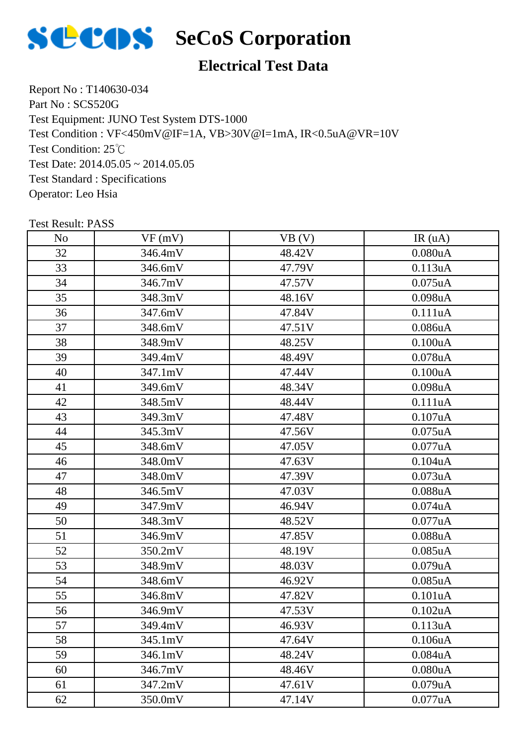

### **Electrical Test Data**

Report No : T140630-034 Part No : SCS520G Test Equipment: JUNO Test System DTS-1000 Test Condition: 25℃ Test Date: 2014.05.05 ~ 2014.05.05 Test Standard : Specifications Operator: Leo Hsia Test Condition : VF<450mV@IF=1A, VB>30V@I=1mA, IR<0.5uA@VR=10V

| N <sub>o</sub> | VF(mV)  | VB(V)  | IR(uA)        |
|----------------|---------|--------|---------------|
| 32             | 346.4mV | 48.42V | 0.080uA       |
| 33             | 346.6mV | 47.79V | 0.113uA       |
| 34             | 346.7mV | 47.57V | $0.075$ uA    |
| 35             | 348.3mV | 48.16V | 0.098uA       |
| 36             | 347.6mV | 47.84V | 0.111uA       |
| 37             | 348.6mV | 47.51V | 0.086uA       |
| 38             | 348.9mV | 48.25V | 0.100uA       |
| 39             | 349.4mV | 48.49V | $0.078$ u $A$ |
| 40             | 347.1mV | 47.44V | 0.100uA       |
| 41             | 349.6mV | 48.34V | 0.098uA       |
| 42             | 348.5mV | 48.44V | 0.111uA       |
| 43             | 349.3mV | 47.48V | 0.107uA       |
| 44             | 345.3mV | 47.56V | $0.075$ uA    |
| 45             | 348.6mV | 47.05V | 0.077uA       |
| 46             | 348.0mV | 47.63V | 0.104uA       |
| 47             | 348.0mV | 47.39V | 0.073uA       |
| 48             | 346.5mV | 47.03V | 0.088uA       |
| 49             | 347.9mV | 46.94V | $0.074$ u $A$ |
| 50             | 348.3mV | 48.52V | 0.077uA       |
| 51             | 346.9mV | 47.85V | 0.088uA       |
| 52             | 350.2mV | 48.19V | $0.085$ uA    |
| 53             | 348.9mV | 48.03V | 0.079uA       |
| 54             | 348.6mV | 46.92V | $0.085$ uA    |
| 55             | 346.8mV | 47.82V | 0.101uA       |
| 56             | 346.9mV | 47.53V | 0.102uA       |
| 57             | 349.4mV | 46.93V | 0.113uA       |
| 58             | 345.1mV | 47.64V | 0.106uA       |
| 59             | 346.1mV | 48.24V | 0.084uA       |
| 60             | 346.7mV | 48.46V | 0.080uA       |
| 61             | 347.2mV | 47.61V | 0.079uA       |
| 62             | 350.0mV | 47.14V | 0.077uA       |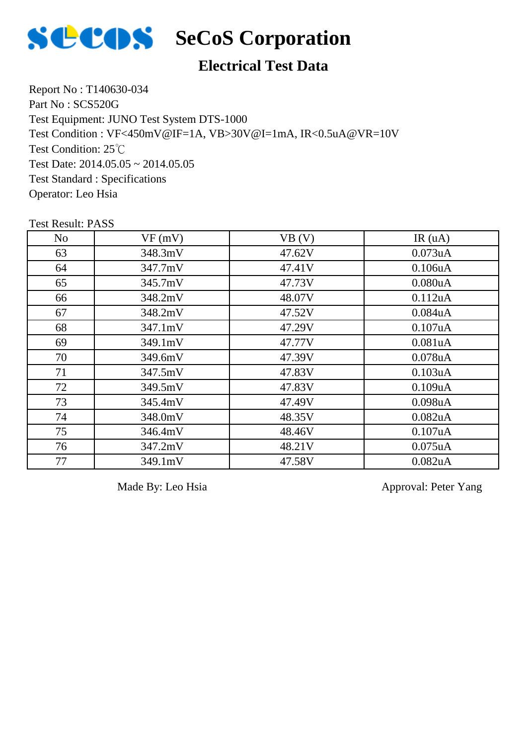

#### **Electrical Test Data**

Report No : T140630-034 Part No : SCS520G Test Equipment: JUNO Test System DTS-1000 Test Condition: 25℃ Test Date:  $2014.05.05 \approx 2014.05.05$ Test Standard : Specifications Operator: Leo Hsia Test Condition : VF<450mV@IF=1A, VB>30V@I=1mA, IR<0.5uA@VR=10V

Test Result: PASS

| N <sub>o</sub> | VF(mV)  | VB (V) | IR(uA)        |
|----------------|---------|--------|---------------|
| 63             | 348.3mV | 47.62V | $0.073$ uA    |
| 64             | 347.7mV | 47.41V | 0.106uA       |
| 65             | 345.7mV | 47.73V | 0.080uA       |
| 66             | 348.2mV | 48.07V | 0.112uA       |
| 67             | 348.2mV | 47.52V | $0.084$ u $A$ |
| 68             | 347.1mV | 47.29V | 0.107uA       |
| 69             | 349.1mV | 47.77V | 0.081uA       |
| 70             | 349.6mV | 47.39V | $0.078$ u $A$ |
| 71             | 347.5mV | 47.83V | 0.103uA       |
| 72             | 349.5mV | 47.83V | 0.109uA       |
| 73             | 345.4mV | 47.49V | $0.098$ u $A$ |
| 74             | 348.0mV | 48.35V | $0.082$ u $A$ |
| 75             | 346.4mV | 48.46V | 0.107uA       |
| 76             | 347.2mV | 48.21V | $0.075$ uA    |
| 77             | 349.1mV | 47.58V | 0.082uA       |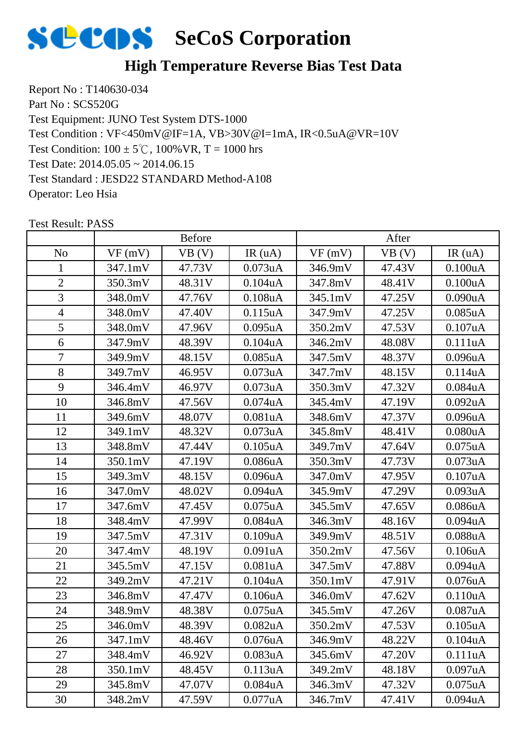

### **High Temperature Reverse Bias Test Data**

Report No : T140630-034 Part No : SCS520G Test Equipment: JUNO Test System DTS-1000 Test Condition:  $100 \pm 5^{\circ}$ C,  $100\%$  VR, T = 1000 hrs Test Date: 2014.05.05 ~ 2014.06.15 Test Standard : JESD22 STANDARD Method-A108 Operator: Leo Hsia Test Condition : VF<450mV@IF=1A, VB>30V@I=1mA, IR<0.5uA@VR=10V

|                |         | <b>Before</b> |                      |         | After  |               |
|----------------|---------|---------------|----------------------|---------|--------|---------------|
| N <sub>o</sub> | VF(mV)  | VB (V)        | IR(uA)               | VF(mV)  | VB (V) | IR $(uA)$     |
| 1              | 347.1mV | 47.73V        | $0.073$ uA           | 346.9mV | 47.43V | 0.100uA       |
| $\overline{2}$ | 350.3mV | 48.31V        | 0.104uA              | 347.8mV | 48.41V | 0.100uA       |
| 3              | 348.0mV | 47.76V        | $0.108$ u $A$        | 345.1mV | 47.25V | 0.090uA       |
| $\overline{4}$ | 348.0mV | 47.40V        | 0.115uA              | 347.9mV | 47.25V | $0.085$ uA    |
| 5              | 348.0mV | 47.96V        | $0.095$ uA           | 350.2mV | 47.53V | 0.107uA       |
| 6              | 347.9mV | 48.39V        | 0.104uA              | 346.2mV | 48.08V | 0.111uA       |
| 7              | 349.9mV | 48.15V        | $0.085$ uA           | 347.5mV | 48.37V | 0.096uA       |
| 8              | 349.7mV | 46.95V        | 0.073uA              | 347.7mV | 48.15V | 0.114uA       |
| 9              | 346.4mV | 46.97V        | 0.073uA              | 350.3mV | 47.32V | 0.084uA       |
| 10             | 346.8mV | 47.56V        | $0.074$ u $A$        | 345.4mV | 47.19V | $0.092$ uA    |
| 11             | 349.6mV | 48.07V        | 0.081uA              | 348.6mV | 47.37V | 0.096uA       |
| 12             | 349.1mV | 48.32V        | 0.073uA              | 345.8mV | 48.41V | 0.080uA       |
| 13             | 348.8mV | 47.44V        | $0.105$ uA           | 349.7mV | 47.64V | $0.075$ uA    |
| 14             | 350.1mV | 47.19V        | 0.086uA              | 350.3mV | 47.73V | 0.073uA       |
| 15             | 349.3mV | 48.15V        | 0.096uA              | 347.0mV | 47.95V | $0.107$ uA    |
| 16             | 347.0mV | 48.02V        | $0.094$ u $A$        | 345.9mV | 47.29V | 0.093uA       |
| 17             | 347.6mV | 47.45V        | $0.075$ uA           | 345.5mV | 47.65V | 0.086uA       |
| 18             | 348.4mV | 47.99V        | 0.084uA              | 346.3mV | 48.16V | 0.094uA       |
| 19             | 347.5mV | 47.31V        | 0.109uA              | 349.9mV | 48.51V | $0.088$ u $A$ |
| 20             | 347.4mV | 48.19V        | 0.091uA              | 350.2mV | 47.56V | 0.106uA       |
| 21             | 345.5mV | 47.15V        | 0.081uA              | 347.5mV | 47.88V | $0.094$ u $A$ |
| 22             | 349.2mV | 47.21V        | 0.104uA              | 350.1mV | 47.91V | $0.076$ u $A$ |
| 23             | 346.8mV | 47.47V        | 0.106uA              | 346.0mV | 47.62V | 0.110uA       |
| 24             | 348.9mV | 48.38V        | $0.075$ uA           | 345.5mV | 47.26V | 0.087uA       |
| 25             | 346.0mV | 48.39V        | 0.082uA              | 350.2mV | 47.53V | $0.105$ u $A$ |
| 26             | 347.1mV | 48.46V        | 0.076 <sub>u</sub> A | 346.9mV | 48.22V | 0.104uA       |
| 27             | 348.4mV | 46.92V        | 0.083 <sub>u</sub> A | 345.6mV | 47.20V | 0.111uA       |
| 28             | 350.1mV | 48.45V        | 0.113uA              | 349.2mV | 48.18V | 0.097uA       |
| 29             | 345.8mV | 47.07V        | $0.084$ u $A$        | 346.3mV | 47.32V | $0.075$ uA    |
| 30             | 348.2mV | 47.59V        | 0.077uA              | 346.7mV | 47.41V | $0.094$ u $A$ |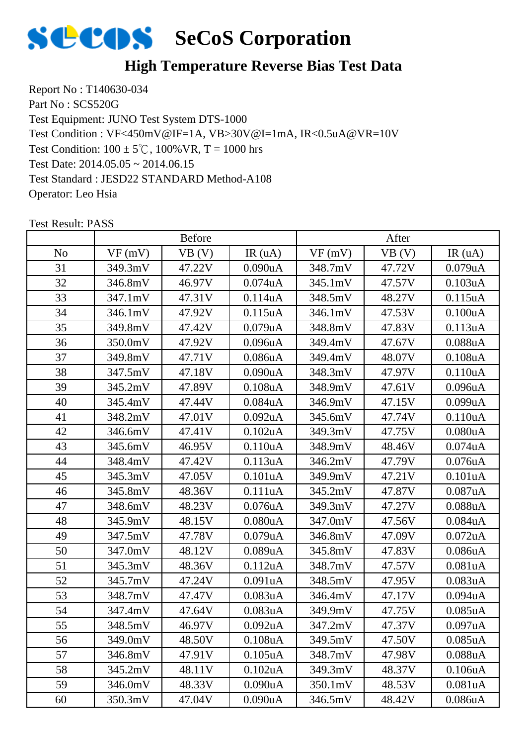

### **High Temperature Reverse Bias Test Data**

Report No : T140630-034 Part No : SCS520G Test Equipment: JUNO Test System DTS-1000 Test Condition:  $100 \pm 5^{\circ}$ C,  $100\%$  VR, T = 1000 hrs Test Date: 2014.05.05 ~ 2014.06.15 Test Standard : JESD22 STANDARD Method-A108 Operator: Leo Hsia Test Condition : VF<450mV@IF=1A, VB>30V@I=1mA, IR<0.5uA@VR=10V

|                | <b>Before</b> |        |               | After   |        |                      |
|----------------|---------------|--------|---------------|---------|--------|----------------------|
| N <sub>o</sub> | VF(mV)        | VB (V) | IR(uA)        | VF(mV)  | VB (V) | IR(uA)               |
| 31             | 349.3mV       | 47.22V | 0.090uA       | 348.7mV | 47.72V | $0.079$ u $A$        |
| 32             | 346.8mV       | 46.97V | $0.074$ u $A$ | 345.1mV | 47.57V | 0.103uA              |
| 33             | 347.1mV       | 47.31V | 0.114uA       | 348.5mV | 48.27V | 0.115uA              |
| 34             | 346.1mV       | 47.92V | $0.115$ uA    | 346.1mV | 47.53V | 0.100uA              |
| 35             | 349.8mV       | 47.42V | 0.079uA       | 348.8mV | 47.83V | 0.113uA              |
| 36             | 350.0mV       | 47.92V | 0.096uA       | 349.4mV | 47.67V | $0.088$ u $A$        |
| 37             | 349.8mV       | 47.71V | 0.086uA       | 349.4mV | 48.07V | 0.108uA              |
| 38             | 347.5mV       | 47.18V | 0.090uA       | 348.3mV | 47.97V | 0.110uA              |
| 39             | 345.2mV       | 47.89V | 0.108uA       | 348.9mV | 47.61V | 0.096uA              |
| 40             | 345.4mV       | 47.44V | 0.084uA       | 346.9mV | 47.15V | 0.099uA              |
| 41             | 348.2mV       | 47.01V | $0.092$ uA    | 345.6mV | 47.74V | 0.110uA              |
| 42             | 346.6mV       | 47.41V | 0.102uA       | 349.3mV | 47.75V | 0.080uA              |
| 43             | 345.6mV       | 46.95V | 0.110uA       | 348.9mV | 48.46V | $0.074$ u $A$        |
| 44             | 348.4mV       | 47.42V | 0.113uA       | 346.2mV | 47.79V | 0.076uA              |
| 45             | 345.3mV       | 47.05V | 0.101uA       | 349.9mV | 47.21V | 0.101uA              |
| 46             | 345.8mV       | 48.36V | 0.111uA       | 345.2mV | 47.87V | 0.087uA              |
| 47             | 348.6mV       | 48.23V | $0.076$ u $A$ | 349.3mV | 47.27V | $0.088$ u $A$        |
| 48             | 345.9mV       | 48.15V | 0.080uA       | 347.0mV | 47.56V | 0.084uA              |
| 49             | 347.5mV       | 47.78V | 0.079uA       | 346.8mV | 47.09V | $0.072$ uA           |
| 50             | 347.0mV       | 48.12V | 0.089uA       | 345.8mV | 47.83V | 0.086uA              |
| 51             | 345.3mV       | 48.36V | 0.112uA       | 348.7mV | 47.57V | 0.081uA              |
| 52             | 345.7mV       | 47.24V | 0.091uA       | 348.5mV | 47.95V | 0.083uA              |
| 53             | 348.7mV       | 47.47V | 0.083uA       | 346.4mV | 47.17V | 0.094uA              |
| 54             | 347.4mV       | 47.64V | 0.083uA       | 349.9mV | 47.75V | $0.085$ uA           |
| 55             | 348.5mV       | 46.97V | $0.092$ uA    | 347.2mV | 47.37V | 0.097uA              |
| 56             | 349.0mV       | 48.50V | 0.108uA       | 349.5mV | 47.50V | 0.085 <sub>u</sub> A |
| 57             | 346.8mV       | 47.91V | $0.105$ uA    | 348.7mV | 47.98V | $0.088$ u $A$        |
| 58             | 345.2mV       | 48.11V | 0.102uA       | 349.3mV | 48.37V | 0.106uA              |
| 59             | 346.0mV       | 48.33V | 0.090uA       | 350.1mV | 48.53V | 0.081uA              |
| 60             | 350.3mV       | 47.04V | 0.090uA       | 346.5mV | 48.42V | 0.086uA              |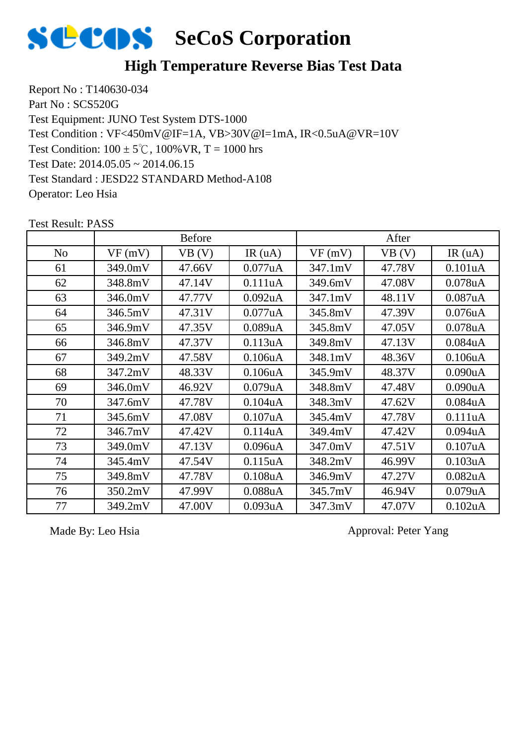

#### **High Temperature Reverse Bias Test Data**

Report No : T140630-034 Part No : SCS520G Test Equipment: JUNO Test System DTS-1000 Test Condition:  $100 \pm 5^{\circ}$ C,  $100\%$  VR, T = 1000 hrs Test Date: 2014.05.05 ~ 2014.06.15 Test Standard : JESD22 STANDARD Method-A108 Operator: Leo Hsia Test Condition : VF<450mV@IF=1A, VB>30V@I=1mA, IR<0.5uA@VR=10V

No |  $VF(mV)$  |  $VB(V)$  | IR (uA) |  $VF(mV)$  |  $VB(V)$  | IR (uA) Before After 61 349.0mV 47.66V 0.077uA 347.1mV 47.78V 0.101uA 62 | 348.8mV | 47.14V | 0.111uA | 349.6mV | 47.08V | 0.078uA 63 346.0mV 47.77V 0.092uA 347.1mV 48.11V 0.087uA 64 346.5mV 47.31V 0.077uA 345.8mV 47.39V 0.076uA 65 346.9mV 47.35V 0.089uA 345.8mV 47.05V 0.078uA 66 346.8mV 47.37V 0.113uA 349.8mV 47.13V 0.084uA 67 | 349.2mV | 47.58V | 0.106uA | 348.1mV | 48.36V | 0.106uA 68 347.2mV 48.33V 0.106uA 345.9mV 48.37V 0.090uA 69 346.0mV 46.92V 0.079uA 348.8mV 47.48V 0.090uA 70 | 347.6mV | 47.78V | 0.104uA | 348.3mV | 47.62V | 0.084uA 71 | 345.6mV | 47.08V | 0.107uA | 345.4mV | 47.78V | 0.111uA 72 346.7mV 47.42V 0.114uA 349.4mV 47.42V 0.094uA 73 349.0mV 47.13V 0.096uA 347.0mV 47.51V 0.107uA 74 | 345.4mV | 47.54V | 0.115uA | 348.2mV | 46.99V | 0.103uA 75 349.8mV 47.78V 0.108uA 346.9mV 47.27V 0.082uA 76 350.2mV 47.99V 0.088uA 345.7mV 46.94V 0.079uA 77 349.2mV 47.00V 0.093uA 347.3mV 47.07V 0.102uA

Test Result: PASS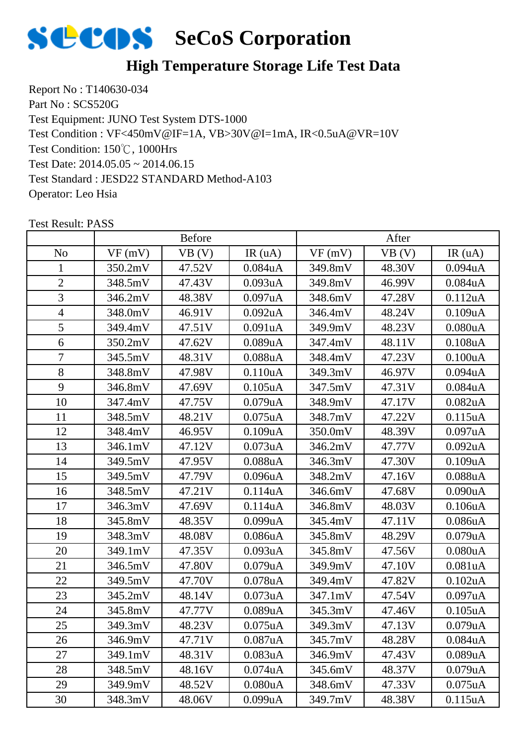

### **High Temperature Storage Life Test Data**

Report No : T140630-034 Part No : SCS520G Test Equipment: JUNO Test System DTS-1000 Test Condition: 150℃, 1000Hrs Test Date: 2014.05.05 ~ 2014.06.15 Test Standard : JESD22 STANDARD Method-A103 Operator: Leo Hsia Test Condition : VF<450mV@IF=1A, VB>30V@I=1mA, IR<0.5uA@VR=10V

|                |         | <b>Before</b> |                      |         | After  |                      |
|----------------|---------|---------------|----------------------|---------|--------|----------------------|
| N <sub>o</sub> | VF(mV)  | VB (V)        | IR(uA)               | VF(mV)  | VB (V) | IR $(uA)$            |
| 1              | 350.2mV | 47.52V        | $0.084$ u $A$        | 349.8mV | 48.30V | $0.094$ u $A$        |
| $\overline{2}$ | 348.5mV | 47.43V        | 0.093uA              | 349.8mV | 46.99V | $0.084$ u $A$        |
| 3              | 346.2mV | 48.38V        | 0.097uA              | 348.6mV | 47.28V | 0.112uA              |
| $\overline{4}$ | 348.0mV | 46.91V        | $0.092$ uA           | 346.4mV | 48.24V | 0.109uA              |
| 5              | 349.4mV | 47.51V        | 0.091uA              | 349.9mV | 48.23V | 0.080uA              |
| 6              | 350.2mV | 47.62V        | 0.089uA              | 347.4mV | 48.11V | 0.108uA              |
| 7              | 345.5mV | 48.31V        | 0.088uA              | 348.4mV | 47.23V | 0.100uA              |
| 8              | 348.8mV | 47.98V        | 0.110 <sub>u</sub> A | 349.3mV | 46.97V | 0.094uA              |
| 9              | 346.8mV | 47.69V        | $0.105$ uA           | 347.5mV | 47.31V | 0.084uA              |
| 10             | 347.4mV | 47.75V        | 0.079uA              | 348.9mV | 47.17V | 0.082uA              |
| 11             | 348.5mV | 48.21V        | $0.075$ uA           | 348.7mV | 47.22V | 0.115uA              |
| 12             | 348.4mV | 46.95V        | 0.109uA              | 350.0mV | 48.39V | 0.097uA              |
| 13             | 346.1mV | 47.12V        | 0.073uA              | 346.2mV | 47.77V | 0.092uA              |
| 14             | 349.5mV | 47.95V        | 0.088uA              | 346.3mV | 47.30V | 0.109uA              |
| 15             | 349.5mV | 47.79V        | 0.096uA              | 348.2mV | 47.16V | 0.088uA              |
| 16             | 348.5mV | 47.21V        | 0.114uA              | 346.6mV | 47.68V | 0.090uA              |
| 17             | 346.3mV | 47.69V        | 0.114uA              | 346.8mV | 48.03V | 0.106uA              |
| 18             | 345.8mV | 48.35V        | 0.099uA              | 345.4mV | 47.11V | 0.086uA              |
| 19             | 348.3mV | 48.08V        | 0.086uA              | 345.8mV | 48.29V | 0.079uA              |
| 20             | 349.1mV | 47.35V        | 0.093uA              | 345.8mV | 47.56V | 0.080uA              |
| 21             | 346.5mV | 47.80V        | 0.079uA              | 349.9mV | 47.10V | 0.081uA              |
| 22             | 349.5mV | 47.70V        | $0.078$ u $A$        | 349.4mV | 47.82V | $0.102$ uA           |
| 23             | 345.2mV | 48.14V        | 0.073uA              | 347.1mV | 47.54V | 0.097uA              |
| 24             | 345.8mV | 47.77V        | 0.089uA              | 345.3mV | 47.46V | $0.105$ uA           |
| 25             | 349.3mV | 48.23V        | $0.075$ uA           | 349.3mV | 47.13V | 0.079uA              |
| 26             | 346.9mV | 47.71V        | 0.087uA              | 345.7mV | 48.28V | 0.084 <sub>u</sub> A |
| 27             | 349.1mV | 48.31V        | 0.083uA              | 346.9mV | 47.43V | 0.089uA              |
| 28             | 348.5mV | 48.16V        | 0.074 <sub>u</sub> A | 345.6mV | 48.37V | 0.079uA              |
| 29             | 349.9mV | 48.52V        | 0.080 <sub>u</sub> A | 348.6mV | 47.33V | $0.075$ uA           |
| 30             | 348.3mV | 48.06V        | 0.099uA              | 349.7mV | 48.38V | 0.115uA              |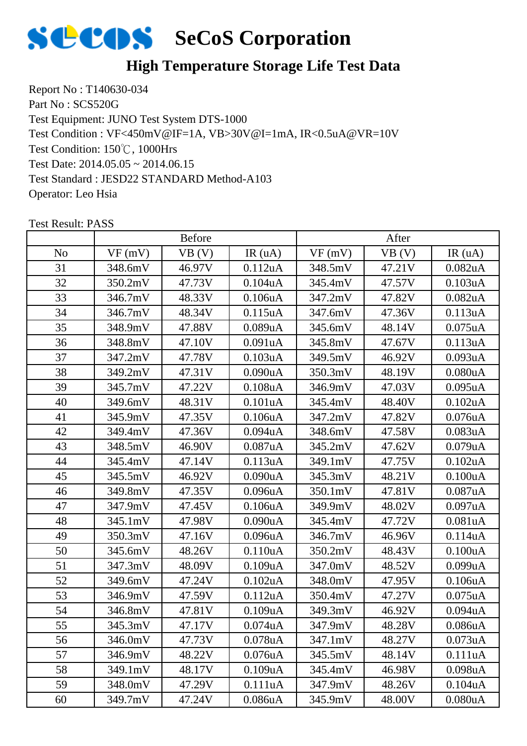

### **High Temperature Storage Life Test Data**

Report No : T140630-034 Part No : SCS520G Test Equipment: JUNO Test System DTS-1000 Test Condition: 150℃, 1000Hrs Test Date: 2014.05.05 ~ 2014.06.15 Test Standard : JESD22 STANDARD Method-A103 Operator: Leo Hsia Test Condition : VF<450mV@IF=1A, VB>30V@I=1mA, IR<0.5uA@VR=10V

|                |         | <b>Before</b> |                      |         | After  |                      |
|----------------|---------|---------------|----------------------|---------|--------|----------------------|
| N <sub>o</sub> | VF(mV)  | VB (V)        | IR(uA)               | VF(mV)  | VB(V)  | IR(uA)               |
| 31             | 348.6mV | 46.97V        | $0.112$ uA           | 348.5mV | 47.21V | $0.082$ uA           |
| 32             | 350.2mV | 47.73V        | 0.104uA              | 345.4mV | 47.57V | 0.103uA              |
| 33             | 346.7mV | 48.33V        | 0.106uA              | 347.2mV | 47.82V | 0.082 <sub>u</sub> A |
| 34             | 346.7mV | 48.34V        | 0.115uA              | 347.6mV | 47.36V | 0.113uA              |
| 35             | 348.9mV | 47.88V        | 0.089uA              | 345.6mV | 48.14V | $0.075$ uA           |
| 36             | 348.8mV | 47.10V        | 0.091uA              | 345.8mV | 47.67V | 0.113uA              |
| 37             | 347.2mV | 47.78V        | 0.103uA              | 349.5mV | 46.92V | 0.093uA              |
| 38             | 349.2mV | 47.31V        | 0.090uA              | 350.3mV | 48.19V | 0.080uA              |
| 39             | 345.7mV | 47.22V        | $0.108$ u $A$        | 346.9mV | 47.03V | $0.095$ uA           |
| 40             | 349.6mV | 48.31V        | 0.101uA              | 345.4mV | 48.40V | 0.102uA              |
| 41             | 345.9mV | 47.35V        | 0.106uA              | 347.2mV | 47.82V | 0.076uA              |
| 42             | 349.4mV | 47.36V        | $0.094$ u $A$        | 348.6mV | 47.58V | 0.083uA              |
| 43             | 348.5mV | 46.90V        | 0.087uA              | 345.2mV | 47.62V | 0.079uA              |
| 44             | 345.4mV | 47.14V        | 0.113uA              | 349.1mV | 47.75V | 0.102uA              |
| 45             | 345.5mV | 46.92V        | 0.090uA              | 345.3mV | 48.21V | 0.100uA              |
| 46             | 349.8mV | 47.35V        | 0.096uA              | 350.1mV | 47.81V | 0.087uA              |
| 47             | 347.9mV | 47.45V        | 0.106uA              | 349.9mV | 48.02V | 0.097uA              |
| 48             | 345.1mV | 47.98V        | 0.090uA              | 345.4mV | 47.72V | 0.081uA              |
| 49             | 350.3mV | 47.16V        | 0.096uA              | 346.7mV | 46.96V | 0.114uA              |
| 50             | 345.6mV | 48.26V        | 0.110uA              | 350.2mV | 48.43V | 0.100uA              |
| 51             | 347.3mV | 48.09V        | 0.109uA              | 347.0mV | 48.52V | 0.099uA              |
| 52             | 349.6mV | 47.24V        | $0.102$ uA           | 348.0mV | 47.95V | 0.106uA              |
| 53             | 346.9mV | 47.59V        | 0.112uA              | 350.4mV | 47.27V | $0.075$ uA           |
| 54             | 346.8mV | 47.81V        | 0.109uA              | 349.3mV | 46.92V | 0.094uA              |
| 55             | 345.3mV | 47.17V        | 0.074 <sub>u</sub> A | 347.9mV | 48.28V | 0.086uA              |
| 56             | 346.0mV | 47.73V        | 0.078 <sub>u</sub> A | 347.1mV | 48.27V | 0.073 <sub>u</sub> A |
| 57             | 346.9mV | 48.22V        | 0.076 <sub>u</sub> A | 345.5mV | 48.14V | 0.111uA              |
| 58             | 349.1mV | 48.17V        | 0.109uA              | 345.4mV | 46.98V | 0.098uA              |
| 59             | 348.0mV | 47.29V        | 0.111uA              | 347.9mV | 48.26V | 0.104uA              |
| 60             | 349.7mV | 47.24V        | $0.086$ u $A$        | 345.9mV | 48.00V | 0.080 <sub>u</sub> A |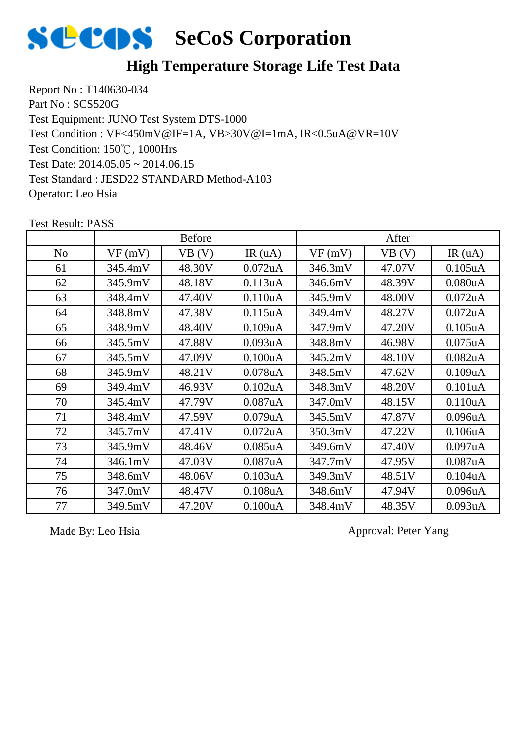

#### **High Temperature Storage Life Test Data**

Report No : T140630-034 Part No : SCS520G Test Equipment: JUNO Test System DTS-1000 Test Condition: 150℃, 1000Hrs Test Date: 2014.05.05 ~ 2014.06.15 Test Standard : JESD22 STANDARD Method-A103 Operator: Leo Hsia Test Condition : VF<450mV@IF=1A, VB>30V@I=1mA, IR<0.5uA@VR=10V

|                |         | <b>Before</b> |                      |         | After  |                      |
|----------------|---------|---------------|----------------------|---------|--------|----------------------|
| N <sub>o</sub> | VF(mV)  | VB (V)        | IR(uA)               | VF(mV)  | VB (V) | IR(uA)               |
| 61             | 345.4mV | 48.30V        | $0.072$ uA           | 346.3mV | 47.07V | $0.105$ uA           |
| 62             | 345.9mV | 48.18V        | 0.113uA              | 346.6mV | 48.39V | 0.080uA              |
| 63             | 348.4mV | 47.40V        | 0.110 <sub>u</sub> A | 345.9mV | 48.00V | $0.072$ uA           |
| 64             | 348.8mV | 47.38V        | 0.115 <sub>u</sub> A | 349.4mV | 48.27V | $0.072$ uA           |
| 65             | 348.9mV | 48.40V        | 0.109uA              | 347.9mV | 47.20V | $0.105$ uA           |
| 66             | 345.5mV | 47.88V        | 0.093uA              | 348.8mV | 46.98V | $0.075$ uA           |
| 67             | 345.5mV | 47.09V        | 0.100 <sub>u</sub> A | 345.2mV | 48.10V | 0.082uA              |
| 68             | 345.9mV | 48.21V        | $0.078$ u $A$        | 348.5mV | 47.62V | 0.109uA              |
| 69             | 349.4mV | 46.93V        | 0.102uA              | 348.3mV | 48.20V | 0.101uA              |
| 70             | 345.4mV | 47.79V        | 0.087uA              | 347.0mV | 48.15V | 0.110uA              |
| 71             | 348.4mV | 47.59V        | 0.079uA              | 345.5mV | 47.87V | 0.096 <sub>u</sub> A |
| 72             | 345.7mV | 47.41V        | $0.072$ uA           | 350.3mV | 47.22V | 0.106uA              |
| 73             | 345.9mV | 48.46V        | $0.085$ uA           | 349.6mV | 47.40V | 0.097uA              |
| 74             | 346.1mV | 47.03V        | 0.087uA              | 347.7mV | 47.95V | 0.087uA              |
| 75             | 348.6mV | 48.06V        | 0.103uA              | 349.3mV | 48.51V | 0.104uA              |
| 76             | 347.0mV | 48.47V        | 0.108uA              | 348.6mV | 47.94V | 0.096 <sub>u</sub> A |
| 77             | 349.5mV | 47.20V        | 0.100uA              | 348.4mV | 48.35V | 0.093uA              |

Test Result: PASS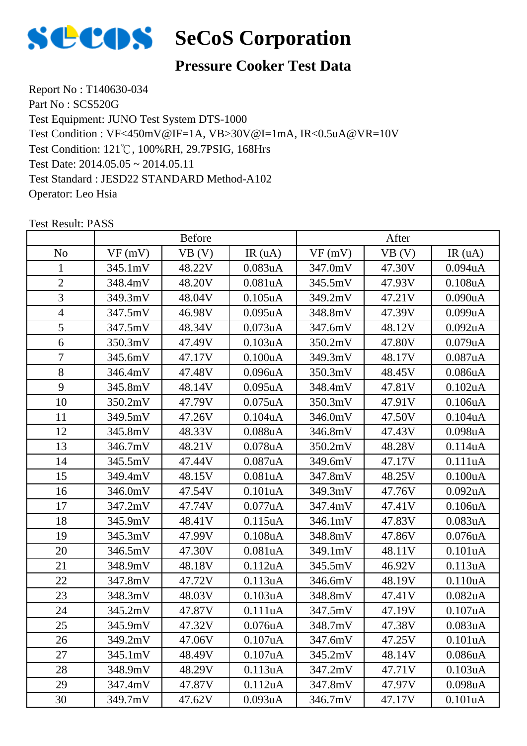

#### **Pressure Cooker Test Data**

Report No : T140630-034 Part No : SCS520G Test Equipment: JUNO Test System DTS-1000 Test Condition: 121℃, 100%RH, 29.7PSIG, 168Hrs Test Date: 2014.05.05 ~ 2014.05.11 Test Standard : JESD22 STANDARD Method-A102 Operator: Leo Hsia Test Condition : VF<450mV@IF=1A, VB>30V@I=1mA, IR<0.5uA@VR=10V

|                |         | <b>Before</b> |            |         | After  |                      |
|----------------|---------|---------------|------------|---------|--------|----------------------|
| N <sub>o</sub> | VF(mV)  | VB(V)         | IR(uA)     | VF(mV)  | VB (V) | IR $(uA)$            |
| 1              | 345.1mV | 48.22V        | 0.083uA    | 347.0mV | 47.30V | $0.094$ u $A$        |
| $\overline{2}$ | 348.4mV | 48.20V        | 0.081uA    | 345.5mV | 47.93V | 0.108uA              |
| 3              | 349.3mV | 48.04V        | $0.105$ uA | 349.2mV | 47.21V | 0.090uA              |
| $\overline{4}$ | 347.5mV | 46.98V        | $0.095$ uA | 348.8mV | 47.39V | 0.099uA              |
| 5              | 347.5mV | 48.34V        | 0.073uA    | 347.6mV | 48.12V | 0.092uA              |
| 6              | 350.3mV | 47.49V        | 0.103uA    | 350.2mV | 47.80V | 0.079uA              |
| $\overline{7}$ | 345.6mV | 47.17V        | 0.100uA    | 349.3mV | 48.17V | 0.087uA              |
| 8              | 346.4mV | 47.48V        | 0.096uA    | 350.3mV | 48.45V | 0.086uA              |
| 9              | 345.8mV | 48.14V        | $0.095$ uA | 348.4mV | 47.81V | $0.102$ uA           |
| 10             | 350.2mV | 47.79V        | $0.075$ uA | 350.3mV | 47.91V | 0.106uA              |
| 11             | 349.5mV | 47.26V        | 0.104uA    | 346.0mV | 47.50V | 0.104uA              |
| 12             | 345.8mV | 48.33V        | 0.088uA    | 346.8mV | 47.43V | 0.098uA              |
| 13             | 346.7mV | 48.21V        | $0.078$ uA | 350.2mV | 48.28V | 0.114uA              |
| 14             | 345.5mV | 47.44V        | 0.087uA    | 349.6mV | 47.17V | 0.111uA              |
| 15             | 349.4mV | 48.15V        | 0.081uA    | 347.8mV | 48.25V | 0.100uA              |
| 16             | 346.0mV | 47.54V        | 0.101uA    | 349.3mV | 47.76V | $0.092$ uA           |
| 17             | 347.2mV | 47.74V        | 0.077uA    | 347.4mV | 47.41V | 0.106uA              |
| 18             | 345.9mV | 48.41V        | 0.115uA    | 346.1mV | 47.83V | 0.083uA              |
| 19             | 345.3mV | 47.99V        | 0.108uA    | 348.8mV | 47.86V | $0.076$ u $A$        |
| 20             | 346.5mV | 47.30V        | 0.081uA    | 349.1mV | 48.11V | 0.101uA              |
| 21             | 348.9mV | 48.18V        | 0.112uA    | 345.5mV | 46.92V | 0.113uA              |
| 22             | 347.8mV | 47.72V        | 0.113uA    | 346.6mV | 48.19V | 0.110uA              |
| 23             | 348.3mV | 48.03V        | 0.103uA    | 348.8mV | 47.41V | 0.082uA              |
| 24             | 345.2mV | 47.87V        | 0.111uA    | 347.5mV | 47.19V | 0.107uA              |
| 25             | 345.9mV | 47.32V        | 0.076uA    | 348.7mV | 47.38V | 0.083uA              |
| 26             | 349.2mV | 47.06V        | 0.107uA    | 347.6mV | 47.25V | 0.101uA              |
| 27             | 345.1mV | 48.49V        | 0.107uA    | 345.2mV | 48.14V | 0.086 <sub>u</sub> A |
| 28             | 348.9mV | 48.29V        | 0.113uA    | 347.2mV | 47.71V | 0.103uA              |
| 29             | 347.4mV | 47.87V        | 0.112uA    | 347.8mV | 47.97V | 0.098uA              |
| 30             | 349.7mV | 47.62V        | 0.093uA    | 346.7mV | 47.17V | 0.101uA              |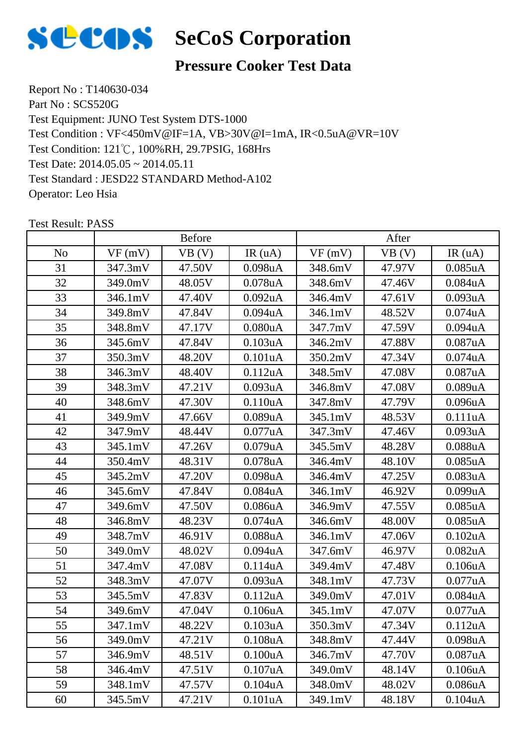

#### **Pressure Cooker Test Data**

Report No : T140630-034 Part No : SCS520G Test Equipment: JUNO Test System DTS-1000 Test Condition: 121℃, 100%RH, 29.7PSIG, 168Hrs Test Date: 2014.05.05 ~ 2014.05.11 Test Standard : JESD22 STANDARD Method-A102 Operator: Leo Hsia Test Condition : VF<450mV@IF=1A, VB>30V@I=1mA, IR<0.5uA@VR=10V

|                | <b>Before</b> |        |                      | After   |        |                      |
|----------------|---------------|--------|----------------------|---------|--------|----------------------|
| N <sub>o</sub> | VF(mV)        | VB(V)  | IR(uA)               | VF(mV)  | VB (V) | IR(uA)               |
| 31             | 347.3mV       | 47.50V | 0.098uA              | 348.6mV | 47.97V | $0.085$ uA           |
| 32             | 349.0mV       | 48.05V | $0.078$ u $A$        | 348.6mV | 47.46V | 0.084uA              |
| 33             | 346.1mV       | 47.40V | $0.092$ uA           | 346.4mV | 47.61V | 0.093uA              |
| 34             | 349.8mV       | 47.84V | $0.094$ u $A$        | 346.1mV | 48.52V | $0.074$ u $A$        |
| 35             | 348.8mV       | 47.17V | 0.080uA              | 347.7mV | 47.59V | 0.094uA              |
| 36             | 345.6mV       | 47.84V | 0.103uA              | 346.2mV | 47.88V | 0.087uA              |
| 37             | 350.3mV       | 48.20V | 0.101uA              | 350.2mV | 47.34V | $0.074$ u $A$        |
| 38             | 346.3mV       | 48.40V | 0.112uA              | 348.5mV | 47.08V | 0.087uA              |
| 39             | 348.3mV       | 47.21V | 0.093uA              | 346.8mV | 47.08V | 0.089uA              |
| 40             | 348.6mV       | 47.30V | 0.110uA              | 347.8mV | 47.79V | 0.096uA              |
| 41             | 349.9mV       | 47.66V | 0.089uA              | 345.1mV | 48.53V | 0.111uA              |
| 42             | 347.9mV       | 48.44V | 0.077uA              | 347.3mV | 47.46V | 0.093uA              |
| 43             | 345.1mV       | 47.26V | 0.079uA              | 345.5mV | 48.28V | 0.088uA              |
| 44             | 350.4mV       | 48.31V | $0.078$ u $A$        | 346.4mV | 48.10V | 0.085uA              |
| 45             | 345.2mV       | 47.20V | 0.098uA              | 346.4mV | 47.25V | 0.083uA              |
| 46             | 345.6mV       | 47.84V | 0.084uA              | 346.1mV | 46.92V | 0.099uA              |
| 47             | 349.6mV       | 47.50V | 0.086uA              | 346.9mV | 47.55V | $0.085$ uA           |
| 48             | 346.8mV       | 48.23V | $0.074$ u $A$        | 346.6mV | 48.00V | $0.085$ uA           |
| 49             | 348.7mV       | 46.91V | $0.088$ uA           | 346.1mV | 47.06V | $0.102$ u $A$        |
| 50             | 349.0mV       | 48.02V | 0.094 <sub>u</sub> A | 347.6mV | 46.97V | 0.082uA              |
| 51             | 347.4mV       | 47.08V | 0.114uA              | 349.4mV | 47.48V | 0.106uA              |
| 52             | 348.3mV       | 47.07V | 0.093uA              | 348.1mV | 47.73V | 0.077uA              |
| 53             | 345.5mV       | 47.83V | 0.112uA              | 349.0mV | 47.01V | 0.084uA              |
| 54             | 349.6mV       | 47.04V | 0.106uA              | 345.1mV | 47.07V | 0.077uA              |
| 55             | 347.1mV       | 48.22V | 0.103uA              | 350.3mV | 47.34V | 0.112uA              |
| 56             | 349.0mV       | 47.21V | 0.108 <sub>u</sub> A | 348.8mV | 47.44V | 0.098uA              |
| 57             | 346.9mV       | 48.51V | 0.100 <sub>u</sub> A | 346.7mV | 47.70V | 0.087uA              |
| 58             | 346.4mV       | 47.51V | 0.107uA              | 349.0mV | 48.14V | 0.106uA              |
| 59             | 348.1mV       | 47.57V | 0.104uA              | 348.0mV | 48.02V | 0.086 <sub>u</sub> A |
| 60             | 345.5mV       | 47.21V | 0.101uA              | 349.1mV | 48.18V | 0.104uA              |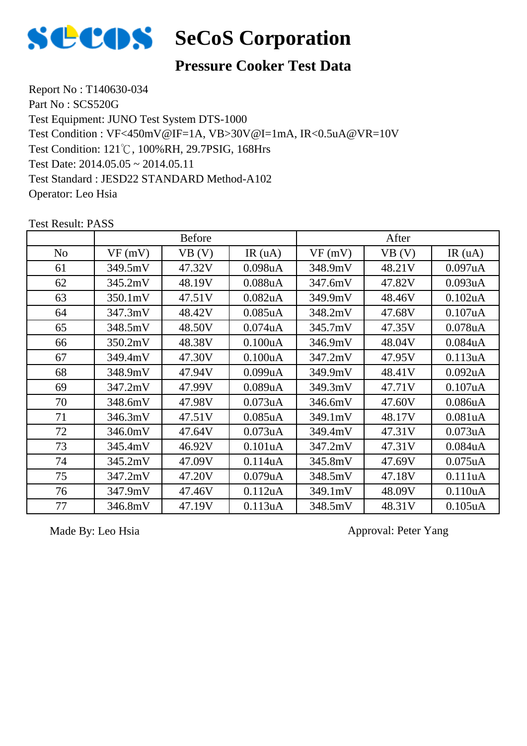

#### **Pressure Cooker Test Data**

Report No : T140630-034 Part No : SCS520G Test Equipment: JUNO Test System DTS-1000 Test Condition: 121℃, 100%RH, 29.7PSIG, 168Hrs Test Date: 2014.05.05 ~ 2014.05.11 Test Standard : JESD22 STANDARD Method-A102 Operator: Leo Hsia Test Condition : VF<450mV@IF=1A, VB>30V@I=1mA, IR<0.5uA@VR=10V

No |  $VF(mV)$  |  $VB(V)$  | IR (uA) |  $VF(mV)$  |  $VB(V)$  | IR (uA) Before After 349.5mV 47.32V 0.098uA 348.9mV 48.21V 0.097uA 62 | 345.2mV | 48.19V | 0.088uA | 347.6mV | 47.82V | 0.093uA 350.1mV 47.51V 0.082uA 349.9mV 48.46V 0.102uA 347.3mV 48.42V 0.085uA 348.2mV 47.68V 0.107uA 348.5mV 48.50V 0.074uA 345.7mV 47.35V 0.078uA 350.2mV 48.38V 0.100uA 346.9mV 48.04V 0.084uA 67 | 349.4mV | 47.30V | 0.100uA | 347.2mV | 47.95V | 0.113uA 348.9mV 47.94V 0.099uA 349.9mV 48.41V 0.092uA 347.2mV 47.99V 0.089uA 349.3mV 47.71V 0.107uA 70 | 348.6mV | 47.98V | 0.073uA | 346.6mV | 47.60V | 0.086uA 346.3mV 47.51V 0.085uA 349.1mV 48.17V 0.081uA 346.0mV 47.64V 0.073uA 349.4mV 47.31V 0.073uA 345.4mV 46.92V 0.101uA 347.2mV 47.31V 0.084uA 345.2mV 47.09V 0.114uA 345.8mV 47.69V 0.075uA 347.2mV 47.20V 0.079uA 348.5mV 47.18V 0.111uA 347.9mV 47.46V 0.112uA 349.1mV 48.09V 0.110uA 346.8mV 47.19V 0.113uA 348.5mV 48.31V 0.105uA

Test Result: PASS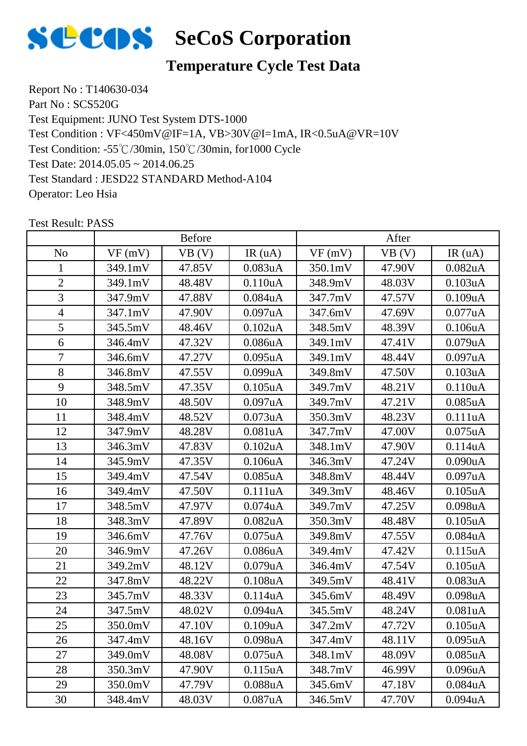

## **Temperature Cycle Test Data**

Report No : T140630-034 Part No : SCS520G Test Equipment: JUNO Test System DTS-1000 Test Condition: -55℃/30min, 150℃/30min, for1000 Cycle Test Date: 2014.05.05 ~ 2014.06.25 Test Standard : JESD22 STANDARD Method-A104 Operator: Leo Hsia Test Condition : VF<450mV@IF=1A, VB>30V@I=1mA, IR<0.5uA@VR=10V

|                | <b>Before</b> |        |                      | After   |        |                      |
|----------------|---------------|--------|----------------------|---------|--------|----------------------|
| N <sub>o</sub> | VF(mV)        | VB (V) | IR(uA)               | VF(mV)  | VB (V) | IR(uA)               |
| 1              | 349.1mV       | 47.85V | 0.083uA              | 350.1mV | 47.90V | $0.082$ uA           |
| $\overline{2}$ | 349.1mV       | 48.48V | 0.110uA              | 348.9mV | 48.03V | 0.103uA              |
| 3              | 347.9mV       | 47.88V | $0.084$ u $A$        | 347.7mV | 47.57V | 0.109uA              |
| $\overline{4}$ | 347.1mV       | 47.90V | 0.097uA              | 347.6mV | 47.69V | 0.077uA              |
| 5              | 345.5mV       | 48.46V | $0.102$ uA           | 348.5mV | 48.39V | 0.106uA              |
| 6              | 346.4mV       | 47.32V | 0.086 <sub>u</sub> A | 349.1mV | 47.41V | 0.079uA              |
| 7              | 346.6mV       | 47.27V | $0.095$ uA           | 349.1mV | 48.44V | 0.097uA              |
| 8              | 346.8mV       | 47.55V | 0.099uA              | 349.8mV | 47.50V | 0.103uA              |
| 9              | 348.5mV       | 47.35V | $0.105$ uA           | 349.7mV | 48.21V | 0.110uA              |
| 10             | 348.9mV       | 48.50V | 0.097uA              | 349.7mV | 47.21V | $0.085$ uA           |
| 11             | 348.4mV       | 48.52V | 0.073uA              | 350.3mV | 48.23V | 0.111uA              |
| 12             | 347.9mV       | 48.28V | 0.081uA              | 347.7mV | 47.00V | $0.075$ uA           |
| 13             | 346.3mV       | 47.83V | $0.102$ uA           | 348.1mV | 47.90V | 0.114uA              |
| 14             | 345.9mV       | 47.35V | 0.106uA              | 346.3mV | 47.24V | 0.090uA              |
| 15             | 349.4mV       | 47.54V | $0.085$ uA           | 348.8mV | 48.44V | 0.097uA              |
| 16             | 349.4mV       | 47.50V | 0.111uA              | 349.3mV | 48.46V | $0.105$ uA           |
| 17             | 348.5mV       | 47.97V | $0.074$ u $A$        | 349.7mV | 47.25V | 0.098uA              |
| 18             | 348.3mV       | 47.89V | 0.082 <sub>u</sub> A | 350.3mV | 48.48V | $0.105$ uA           |
| 19             | 346.6mV       | 47.76V | $0.075$ uA           | 349.8mV | 47.55V | 0.084uA              |
| 20             | 346.9mV       | 47.26V | $0.086$ u $A$        | 349.4mV | 47.42V | 0.115uA              |
| 21             | 349.2mV       | 48.12V | $0.079$ u $A$        | 346.4mV | 47.54V | $0.105$ uA           |
| 22             | 347.8mV       | 48.22V | $0.108$ u $A$        | 349.5mV | 48.41V | 0.083uA              |
| 23             | 345.7mV       | 48.33V | 0.114uA              | 345.6mV | 48.49V | 0.098uA              |
| 24             | 347.5mV       | 48.02V | $0.094$ u $A$        | 345.5mV | 48.24V | 0.081uA              |
| 25             | 350.0mV       | 47.10V | 0.109uA              | 347.2mV | 47.72V | 0.105uA              |
| 26             | 347.4mV       | 48.16V | 0.098 <sub>u</sub> A | 347.4mV | 48.11V | 0.095uA              |
| 27             | 349.0mV       | 48.08V | $0.075$ uA           | 348.1mV | 48.09V | $0.085$ uA           |
| 28             | 350.3mV       | 47.90V | 0.115uA              | 348.7mV | 46.99V | 0.096 <sub>u</sub> A |
| 29             | 350.0mV       | 47.79V | $0.088$ u $A$        | 345.6mV | 47.18V | 0.084uA              |
| 30             | 348.4mV       | 48.03V | 0.087uA              | 346.5mV | 47.70V | $0.094$ u $A$        |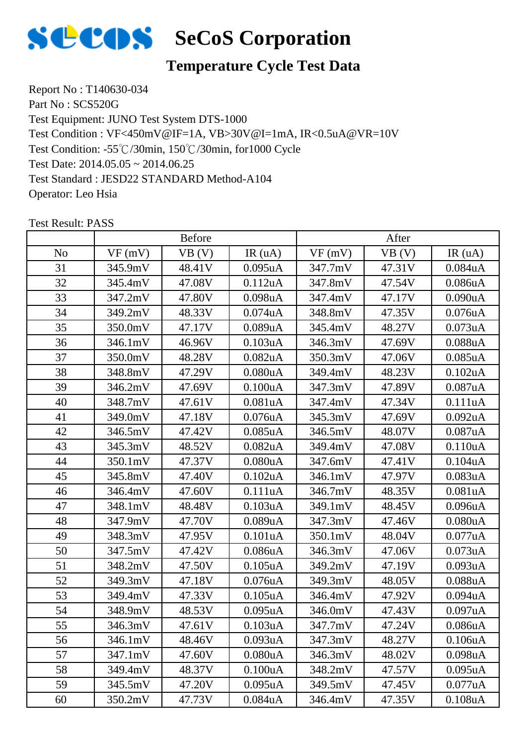

# **Temperature Cycle Test Data**

Report No : T140630-034 Part No : SCS520G Test Equipment: JUNO Test System DTS-1000 Test Condition: -55℃/30min, 150℃/30min, for1000 Cycle Test Date: 2014.05.05 ~ 2014.06.25 Test Standard : JESD22 STANDARD Method-A104 Operator: Leo Hsia Test Condition : VF<450mV@IF=1A, VB>30V@I=1mA, IR<0.5uA@VR=10V

|                | <b>Before</b> |        |                      | After   |        |                      |
|----------------|---------------|--------|----------------------|---------|--------|----------------------|
| N <sub>o</sub> | VF(mV)        | VB (V) | IR(uA)               | VF(mV)  | VB (V) | IR(uA)               |
| 31             | 345.9mV       | 48.41V | $0.095$ uA           | 347.7mV | 47.31V | $0.084$ u $A$        |
| 32             | 345.4mV       | 47.08V | 0.112uA              | 347.8mV | 47.54V | 0.086uA              |
| 33             | 347.2mV       | 47.80V | 0.098uA              | 347.4mV | 47.17V | 0.090uA              |
| 34             | 349.2mV       | 48.33V | $0.074$ u $A$        | 348.8mV | 47.35V | $0.076$ u $A$        |
| 35             | 350.0mV       | 47.17V | 0.089uA              | 345.4mV | 48.27V | 0.073uA              |
| 36             | 346.1mV       | 46.96V | $0.103$ uA           | 346.3mV | 47.69V | 0.088uA              |
| 37             | 350.0mV       | 48.28V | $0.082$ uA           | 350.3mV | 47.06V | $0.085$ uA           |
| 38             | 348.8mV       | 47.29V | 0.080uA              | 349.4mV | 48.23V | 0.102uA              |
| 39             | 346.2mV       | 47.69V | 0.100uA              | 347.3mV | 47.89V | 0.087uA              |
| 40             | 348.7mV       | 47.61V | 0.081uA              | 347.4mV | 47.34V | 0.111uA              |
| 41             | 349.0mV       | 47.18V | $0.076$ u $A$        | 345.3mV | 47.69V | 0.092uA              |
| 42             | 346.5mV       | 47.42V | $0.085$ uA           | 346.5mV | 48.07V | 0.087uA              |
| 43             | 345.3mV       | 48.52V | $0.082$ uA           | 349.4mV | 47.08V | 0.110uA              |
| 44             | 350.1mV       | 47.37V | 0.080uA              | 347.6mV | 47.41V | 0.104uA              |
| 45             | 345.8mV       | 47.40V | $0.102$ uA           | 346.1mV | 47.97V | 0.083uA              |
| 46             | 346.4mV       | 47.60V | 0.111uA              | 346.7mV | 48.35V | 0.081uA              |
| 47             | 348.1mV       | 48.48V | 0.103uA              | 349.1mV | 48.45V | 0.096 <sub>u</sub> A |
| 48             | 347.9mV       | 47.70V | 0.089uA              | 347.3mV | 47.46V | 0.080uA              |
| 49             | 348.3mV       | 47.95V | 0.101uA              | 350.1mV | 48.04V | 0.077uA              |
| 50             | 347.5mV       | 47.42V | 0.086uA              | 346.3mV | 47.06V | 0.073uA              |
| 51             | 348.2mV       | 47.50V | $0.105$ uA           | 349.2mV | 47.19V | 0.093uA              |
| 52             | 349.3mV       | 47.18V | $0.076$ u $A$        | 349.3mV | 48.05V | $0.088$ u $A$        |
| 53             | 349.4mV       | 47.33V | 0.105uA              | 346.4mV | 47.92V | 0.094uA              |
| 54             | 348.9mV       | 48.53V | $0.095$ uA           | 346.0mV | 47.43V | 0.097uA              |
| 55             | 346.3mV       | 47.61V | 0.103uA              | 347.7mV | 47.24V | $0.086$ u $A$        |
| 56             | 346.1mV       | 48.46V | 0.093uA              | 347.3mV | 48.27V | 0.106 <sub>u</sub> A |
| 57             | 347.1mV       | 47.60V | 0.080 <sub>u</sub> A | 346.3mV | 48.02V | 0.098uA              |
| 58             | 349.4mV       | 48.37V | 0.100uA              | 348.2mV | 47.57V | $0.095$ uA           |
| 59             | 345.5mV       | 47.20V | $0.095$ uA           | 349.5mV | 47.45V | 0.077uA              |
| 60             | 350.2mV       | 47.73V | $0.084$ u $A$        | 346.4mV | 47.35V | 0.108uA              |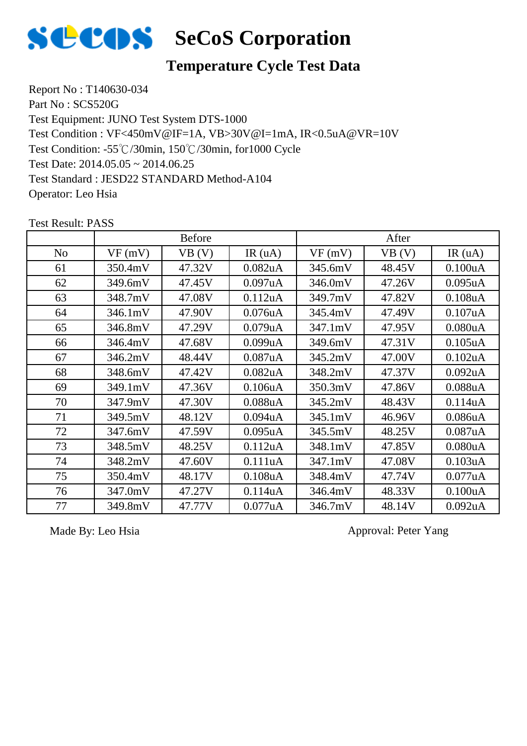

#### **Temperature Cycle Test Data**

Report No : T140630-034 Part No : SCS520G Test Equipment: JUNO Test System DTS-1000 Test Condition: -55℃/30min, 150℃/30min, for1000 Cycle Test Date: 2014.05.05 ~ 2014.06.25 Test Standard : JESD22 STANDARD Method-A104 Operator: Leo Hsia Test Condition : VF<450mV@IF=1A, VB>30V@I=1mA, IR<0.5uA@VR=10V

No |  $VF(mV)$  |  $VB(V)$  | IR (uA) |  $VF(mV)$  |  $VB(V)$  | IR (uA) Before After 61 350.4mV 47.32V 0.082uA 345.6mV 48.45V 0.100uA 62 349.6mV 47.45V 0.097uA 346.0mV 47.26V 0.095uA 63 348.7mV 47.08V 0.112uA 349.7mV 47.82V 0.108uA 64 346.1mV 47.90V 0.076uA 345.4mV 47.49V 0.107uA 65 346.8mV 47.29V 0.079uA 347.1mV 47.95V 0.080uA 66 346.4mV 47.68V 0.099uA 349.6mV 47.31V 0.105uA 67 | 346.2mV | 48.44V | 0.087uA | 345.2mV | 47.00V | 0.102uA 68 348.6mV 47.42V 0.082uA 348.2mV 47.37V 0.092uA 69 | 349.1mV | 47.36V | 0.106uA | 350.3mV | 47.86V | 0.088uA 70 | 347.9mV | 47.30V | 0.088uA | 345.2mV | 48.43V | 0.114uA 71 | 349.5mV | 48.12V | 0.094uA | 345.1mV | 46.96V | 0.086uA 72 347.6mV 47.59V 0.095uA 345.5mV 48.25V 0.087uA 73 348.5mV 48.25V 0.112uA 348.1mV 47.85V 0.080uA 74 | 348.2mV | 47.60V | 0.111uA | 347.1mV | 47.08V | 0.103uA 75 350.4mV 48.17V 0.108uA 348.4mV 47.74V 0.077uA 76 | 347.0mV | 47.27V | 0.114uA | 346.4mV | 48.33V | 0.100uA 77 349.8mV 47.77V 0.077uA 346.7mV 48.14V 0.092uA

Test Result: PASS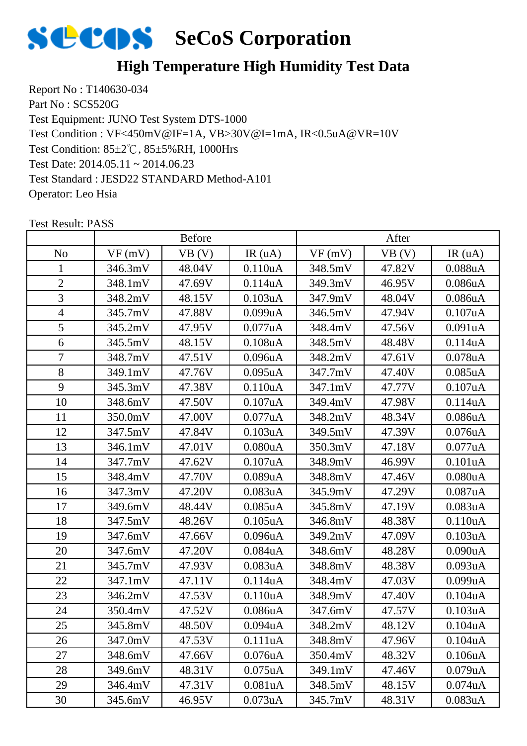

## **High Temperature High Humidity Test Data**

Report No : T140630-034 Part No : SCS520G Test Equipment: JUNO Test System DTS-1000 Test Condition: 85±2℃, 85±5%RH, 1000Hrs Test Date: 2014.05.11 ~ 2014.06.23 Test Standard : JESD22 STANDARD Method-A101 Operator: Leo Hsia Test Condition : VF<450mV@IF=1A, VB>30V@I=1mA, IR<0.5uA@VR=10V

|                | <b>Before</b> |        |                      | After   |        |                      |
|----------------|---------------|--------|----------------------|---------|--------|----------------------|
| N <sub>o</sub> | VF(mV)        | VB (V) | IR(uA)               | VF(mV)  | VB(V)  | IR(uA)               |
| 1              | 346.3mV       | 48.04V | 0.110 <sub>u</sub> A | 348.5mV | 47.82V | 0.088uA              |
| $\overline{2}$ | 348.1mV       | 47.69V | 0.114uA              | 349.3mV | 46.95V | 0.086uA              |
| 3              | 348.2mV       | 48.15V | 0.103uA              | 347.9mV | 48.04V | 0.086uA              |
| $\overline{4}$ | 345.7mV       | 47.88V | 0.099uA              | 346.5mV | 47.94V | 0.107uA              |
| 5              | 345.2mV       | 47.95V | $0.077$ uA           | 348.4mV | 47.56V | 0.091uA              |
| 6              | 345.5mV       | 48.15V | 0.108uA              | 348.5mV | 48.48V | 0.114uA              |
| $\overline{7}$ | 348.7mV       | 47.51V | $0.096$ u $A$        | 348.2mV | 47.61V | $0.078$ u $A$        |
| 8              | 349.1mV       | 47.76V | $0.095$ uA           | 347.7mV | 47.40V | $0.085$ uA           |
| 9              | 345.3mV       | 47.38V | 0.110uA              | 347.1mV | 47.77V | 0.107uA              |
| 10             | 348.6mV       | 47.50V | 0.107uA              | 349.4mV | 47.98V | 0.114uA              |
| 11             | 350.0mV       | 47.00V | $0.077$ uA           | 348.2mV | 48.34V | 0.086uA              |
| 12             | 347.5mV       | 47.84V | 0.103uA              | 349.5mV | 47.39V | 0.076uA              |
| 13             | 346.1mV       | 47.01V | 0.080uA              | 350.3mV | 47.18V | 0.077uA              |
| 14             | 347.7mV       | 47.62V | 0.107uA              | 348.9mV | 46.99V | 0.101uA              |
| 15             | 348.4mV       | 47.70V | 0.089uA              | 348.8mV | 47.46V | 0.080uA              |
| 16             | 347.3mV       | 47.20V | 0.083uA              | 345.9mV | 47.29V | 0.087uA              |
| 17             | 349.6mV       | 48.44V | $0.085$ uA           | 345.8mV | 47.19V | 0.083uA              |
| 18             | 347.5mV       | 48.26V | $0.105$ uA           | 346.8mV | 48.38V | 0.110uA              |
| 19             | 347.6mV       | 47.66V | 0.096uA              | 349.2mV | 47.09V | 0.103uA              |
| 20             | 347.6mV       | 47.20V | 0.084uA              | 348.6mV | 48.28V | 0.090uA              |
| 21             | 345.7mV       | 47.93V | 0.083uA              | 348.8mV | 48.38V | 0.093uA              |
| 22             | 347.1mV       | 47.11V | 0.114uA              | 348.4mV | 47.03V | 0.099uA              |
| 23             | 346.2mV       | 47.53V | 0.110uA              | 348.9mV | 47.40V | 0.104uA              |
| 24             | 350.4mV       | 47.52V | 0.086uA              | 347.6mV | 47.57V | 0.103uA              |
| 25             | 345.8mV       | 48.50V | 0.094uA              | 348.2mV | 48.12V | 0.104uA              |
| 26             | 347.0mV       | 47.53V | 0.111uA              | 348.8mV | 47.96V | 0.104 <sub>u</sub> A |
| 27             | 348.6mV       | 47.66V | 0.076 <sub>u</sub> A | 350.4mV | 48.32V | 0.106 <sub>u</sub> A |
| 28             | 349.6mV       | 48.31V | $0.075$ uA           | 349.1mV | 47.46V | 0.079uA              |
| 29             | 346.4mV       | 47.31V | 0.081uA              | 348.5mV | 48.15V | $0.074$ u $A$        |
| 30             | 345.6mV       | 46.95V | 0.073uA              | 345.7mV | 48.31V | 0.083 <sub>u</sub> A |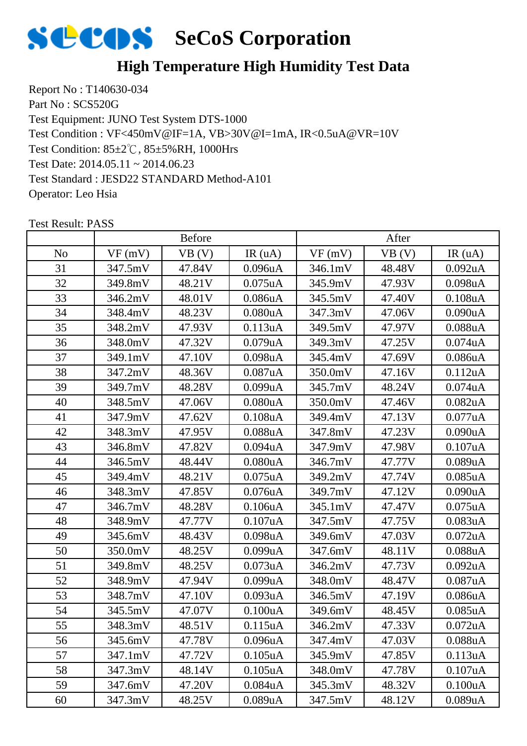

## **High Temperature High Humidity Test Data**

Report No : T140630-034 Part No : SCS520G Test Equipment: JUNO Test System DTS-1000 Test Condition: 85±2℃, 85±5%RH, 1000Hrs Test Date: 2014.05.11 ~ 2014.06.23 Test Standard : JESD22 STANDARD Method-A101 Operator: Leo Hsia Test Condition : VF<450mV@IF=1A, VB>30V@I=1mA, IR<0.5uA@VR=10V

|                | <b>Before</b> |        |                      | After   |        |                      |
|----------------|---------------|--------|----------------------|---------|--------|----------------------|
| N <sub>o</sub> | VF(mV)        | VB (V) | IR(uA)               | VF(mV)  | VB(V)  | IR(uA)               |
| 31             | 347.5mV       | 47.84V | 0.096 <sub>u</sub> A | 346.1mV | 48.48V | $0.092$ uA           |
| 32             | 349.8mV       | 48.21V | $0.075$ uA           | 345.9mV | 47.93V | 0.098uA              |
| 33             | 346.2mV       | 48.01V | 0.086 <sub>u</sub> A | 345.5mV | 47.40V | $0.108$ u $A$        |
| 34             | 348.4mV       | 48.23V | 0.080uA              | 347.3mV | 47.06V | 0.090uA              |
| 35             | 348.2mV       | 47.93V | 0.113uA              | 349.5mV | 47.97V | 0.088uA              |
| 36             | 348.0mV       | 47.32V | 0.079uA              | 349.3mV | 47.25V | 0.074uA              |
| 37             | 349.1mV       | 47.10V | 0.098uA              | 345.4mV | 47.69V | 0.086uA              |
| 38             | 347.2mV       | 48.36V | 0.087uA              | 350.0mV | 47.16V | 0.112uA              |
| 39             | 349.7mV       | 48.28V | 0.099uA              | 345.7mV | 48.24V | $0.074$ u $A$        |
| 40             | 348.5mV       | 47.06V | 0.080uA              | 350.0mV | 47.46V | 0.082uA              |
| 41             | 347.9mV       | 47.62V | $0.108$ u $A$        | 349.4mV | 47.13V | 0.077uA              |
| 42             | 348.3mV       | 47.95V | $0.088$ uA           | 347.8mV | 47.23V | 0.090uA              |
| 43             | 346.8mV       | 47.82V | $0.094$ u $A$        | 347.9mV | 47.98V | 0.107uA              |
| 44             | 346.5mV       | 48.44V | 0.080uA              | 346.7mV | 47.77V | 0.089uA              |
| 45             | 349.4mV       | 48.21V | $0.075$ uA           | 349.2mV | 47.74V | $0.085$ uA           |
| 46             | 348.3mV       | 47.85V | 0.076uA              | 349.7mV | 47.12V | 0.090uA              |
| 47             | 346.7mV       | 48.28V | 0.106uA              | 345.1mV | 47.47V | $0.075$ uA           |
| 48             | 348.9mV       | 47.77V | 0.107uA              | 347.5mV | 47.75V | 0.083uA              |
| 49             | 345.6mV       | 48.43V | 0.098uA              | 349.6mV | 47.03V | $0.072$ uA           |
| 50             | 350.0mV       | 48.25V | 0.099uA              | 347.6mV | 48.11V | 0.088uA              |
| 51             | 349.8mV       | 48.25V | $0.073$ uA           | 346.2mV | 47.73V | 0.092uA              |
| 52             | 348.9mV       | 47.94V | 0.099uA              | 348.0mV | 48.47V | 0.087uA              |
| 53             | 348.7mV       | 47.10V | 0.093uA              | 346.5mV | 47.19V | 0.086uA              |
| 54             | 345.5mV       | 47.07V | 0.100uA              | 349.6mV | 48.45V | $0.085$ uA           |
| 55             | 348.3mV       | 48.51V | 0.115uA              | 346.2mV | 47.33V | 0.072 <sub>u</sub> A |
| 56             | 345.6mV       | 47.78V | $0.096$ u $A$        | 347.4mV | 47.03V | 0.088uA              |
| 57             | 347.1mV       | 47.72V | $0.105$ uA           | 345.9mV | 47.85V | 0.113uA              |
| 58             | 347.3mV       | 48.14V | 0.105uA              | 348.0mV | 47.78V | 0.107uA              |
| 59             | 347.6mV       | 47.20V | 0.084uA              | 345.3mV | 48.32V | 0.100uA              |
| 60             | 347.3mV       | 48.25V | 0.089uA              | 347.5mV | 48.12V | 0.089uA              |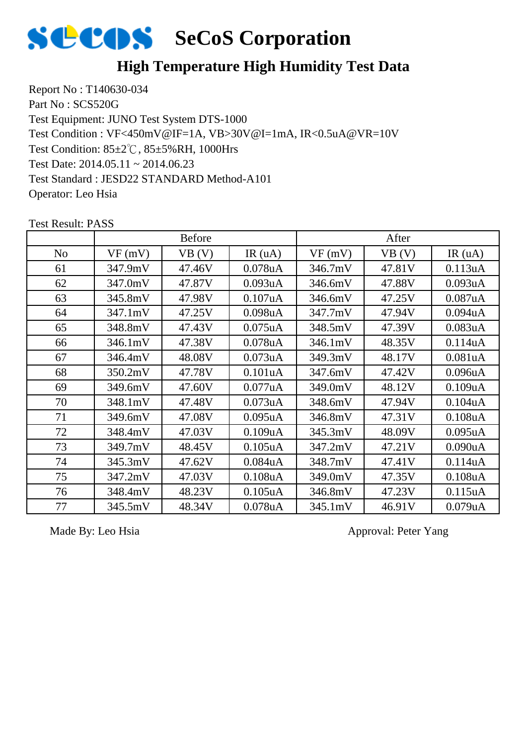

## **High Temperature High Humidity Test Data**

Report No : T140630-034 Part No : SCS520G Test Equipment: JUNO Test System DTS-1000 Test Condition: 85±2℃, 85±5%RH, 1000Hrs Test Date: 2014.05.11 ~ 2014.06.23 Test Standard : JESD22 STANDARD Method-A101 Operator: Leo Hsia Test Condition : VF<450mV@IF=1A, VB>30V@I=1mA, IR<0.5uA@VR=10V

|                |         | <b>Before</b> |                      |         | After  |               |
|----------------|---------|---------------|----------------------|---------|--------|---------------|
| N <sub>0</sub> | VF(mV)  | VB (V)        | IR(uA)               | VF(mV)  | VB (V) | IR(uA)        |
| 61             | 347.9mV | 47.46V        | $0.078$ u $A$        | 346.7mV | 47.81V | 0.113uA       |
| 62             | 347.0mV | 47.87V        | 0.093uA              | 346.6mV | 47.88V | 0.093uA       |
| 63             | 345.8mV | 47.98V        | 0.107uA              | 346.6mV | 47.25V | 0.087uA       |
| 64             | 347.1mV | 47.25V        | 0.098 <sub>u</sub> A | 347.7mV | 47.94V | $0.094$ u $A$ |
| 65             | 348.8mV | 47.43V        | $0.075$ uA           | 348.5mV | 47.39V | 0.083uA       |
| 66             | 346.1mV | 47.38V        | $0.078$ u $A$        | 346.1mV | 48.35V | 0.114uA       |
| 67             | 346.4mV | 48.08V        | 0.073uA              | 349.3mV | 48.17V | 0.081uA       |
| 68             | 350.2mV | 47.78V        | 0.101uA              | 347.6mV | 47.42V | 0.096uA       |
| 69             | 349.6mV | 47.60V        | 0.077uA              | 349.0mV | 48.12V | 0.109uA       |
| 70             | 348.1mV | 47.48V        | 0.073uA              | 348.6mV | 47.94V | 0.104uA       |
| 71             | 349.6mV | 47.08V        | $0.095$ uA           | 346.8mV | 47.31V | 0.108uA       |
| 72             | 348.4mV | 47.03V        | 0.109uA              | 345.3mV | 48.09V | $0.095$ uA    |
| 73             | 349.7mV | 48.45V        | $0.105$ uA           | 347.2mV | 47.21V | 0.090uA       |
| 74             | 345.3mV | 47.62V        | 0.084uA              | 348.7mV | 47.41V | 0.114uA       |
| 75             | 347.2mV | 47.03V        | $0.108$ u $A$        | 349.0mV | 47.35V | 0.108uA       |
| 76             | 348.4mV | 48.23V        | $0.105$ uA           | 346.8mV | 47.23V | 0.115uA       |
| 77             | 345.5mV | 48.34V        | $0.078$ u $A$        | 345.1mV | 46.91V | 0.079uA       |

Test Result: PASS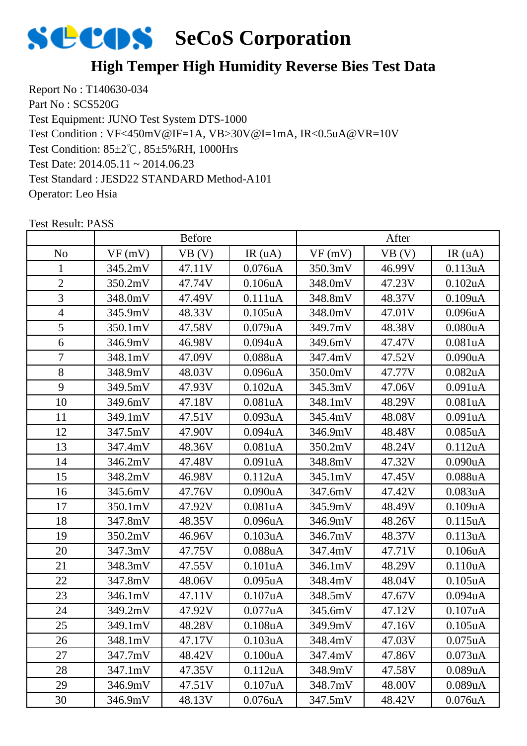

#### **High Temper High Humidity Reverse Bies Test Data**

Report No : T140630-034 Part No : SCS520G Test Equipment: JUNO Test System DTS-1000 Test Condition: 85±2℃, 85±5%RH, 1000Hrs Test Date: 2014.05.11 ~ 2014.06.23 Test Standard : JESD22 STANDARD Method-A101 Operator: Leo Hsia Test Condition : VF<450mV@IF=1A, VB>30V@I=1mA, IR<0.5uA@VR=10V

|                | <b>Before</b> |        |                      | After   |        |                      |
|----------------|---------------|--------|----------------------|---------|--------|----------------------|
| N <sub>o</sub> | VF(mV)        | VB(V)  | IR(uA)               | VF(mV)  | VB (V) | IR(uA)               |
| 1              | 345.2mV       | 47.11V | $0.076$ u $A$        | 350.3mV | 46.99V | 0.113uA              |
| $\overline{2}$ | 350.2mV       | 47.74V | 0.106uA              | 348.0mV | 47.23V | $0.102$ uA           |
| 3              | 348.0mV       | 47.49V | 0.111uA              | 348.8mV | 48.37V | 0.109uA              |
| $\overline{4}$ | 345.9mV       | 48.33V | $0.105$ uA           | 348.0mV | 47.01V | 0.096uA              |
| 5              | 350.1mV       | 47.58V | $0.079$ uA           | 349.7mV | 48.38V | 0.080uA              |
| 6              | 346.9mV       | 46.98V | $0.094$ u $A$        | 349.6mV | 47.47V | 0.081uA              |
| $\overline{7}$ | 348.1mV       | 47.09V | $0.088$ u $A$        | 347.4mV | 47.52V | 0.090uA              |
| 8              | 348.9mV       | 48.03V | 0.096uA              | 350.0mV | 47.77V | 0.082uA              |
| 9              | 349.5mV       | 47.93V | $0.102$ uA           | 345.3mV | 47.06V | 0.091uA              |
| 10             | 349.6mV       | 47.18V | 0.081uA              | 348.1mV | 48.29V | 0.081uA              |
| 11             | 349.1mV       | 47.51V | 0.093uA              | 345.4mV | 48.08V | 0.091uA              |
| 12             | 347.5mV       | 47.90V | $0.094$ u $A$        | 346.9mV | 48.48V | $0.085$ uA           |
| 13             | 347.4mV       | 48.36V | 0.081uA              | 350.2mV | 48.24V | 0.112uA              |
| 14             | 346.2mV       | 47.48V | 0.091uA              | 348.8mV | 47.32V | 0.090uA              |
| 15             | 348.2mV       | 46.98V | 0.112uA              | 345.1mV | 47.45V | $0.088$ u $A$        |
| 16             | 345.6mV       | 47.76V | 0.090uA              | 347.6mV | 47.42V | 0.083uA              |
| 17             | 350.1mV       | 47.92V | 0.081uA              | 345.9mV | 48.49V | 0.109uA              |
| 18             | 347.8mV       | 48.35V | 0.096uA              | 346.9mV | 48.26V | 0.115uA              |
| 19             | 350.2mV       | 46.96V | 0.103uA              | 346.7mV | 48.37V | 0.113uA              |
| 20             | 347.3mV       | 47.75V | 0.088uA              | 347.4mV | 47.71V | 0.106uA              |
| 21             | 348.3mV       | 47.55V | 0.101uA              | 346.1mV | 48.29V | 0.110uA              |
| 22             | 347.8mV       | 48.06V | $0.095$ uA           | 348.4mV | 48.04V | $0.105$ uA           |
| 23             | 346.1mV       | 47.11V | 0.107uA              | 348.5mV | 47.67V | 0.094uA              |
| 24             | 349.2mV       | 47.92V | 0.077uA              | 345.6mV | 47.12V | 0.107uA              |
| 25             | 349.1mV       | 48.28V | 0.108uA              | 349.9mV | 47.16V | 0.105uA              |
| 26             | 348.1mV       | 47.17V | 0.103uA              | 348.4mV | 47.03V | $0.075$ uA           |
| 27             | 347.7mV       | 48.42V | 0.100 <sub>u</sub> A | 347.4mV | 47.86V | 0.073 <sub>u</sub> A |
| 28             | 347.1mV       | 47.35V | 0.112uA              | 348.9mV | 47.58V | 0.089uA              |
| 29             | 346.9mV       | 47.51V | 0.107uA              | 348.7mV | 48.00V | 0.089uA              |
| 30             | 346.9mV       | 48.13V | $0.076$ u $A$        | 347.5mV | 48.42V | $0.076$ u $A$        |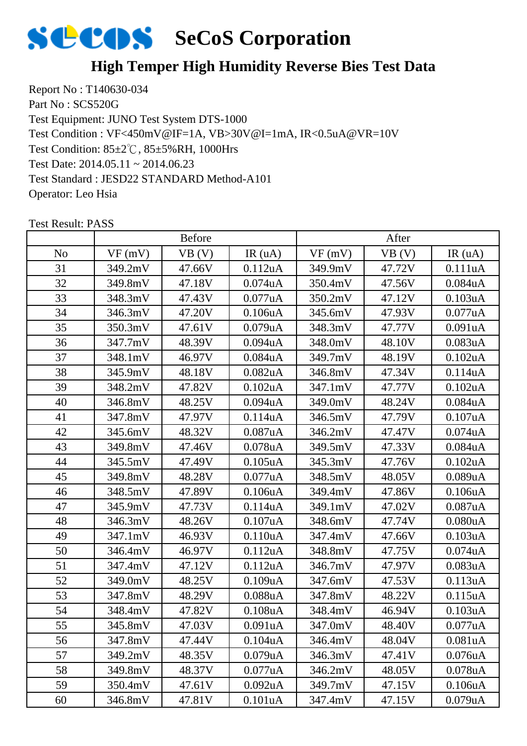

#### **High Temper High Humidity Reverse Bies Test Data**

Report No : T140630-034 Part No : SCS520G Test Equipment: JUNO Test System DTS-1000 Test Condition: 85±2℃, 85±5%RH, 1000Hrs Test Date: 2014.05.11 ~ 2014.06.23 Test Standard : JESD22 STANDARD Method-A101 Operator: Leo Hsia Test Condition : VF<450mV@IF=1A, VB>30V@I=1mA, IR<0.5uA@VR=10V

|                | <b>Before</b> |        |                      | After   |        |                      |
|----------------|---------------|--------|----------------------|---------|--------|----------------------|
| N <sub>o</sub> | VF(mV)        | VB(V)  | IR(uA)               | VF(mV)  | VB(V)  | IR(uA)               |
| 31             | 349.2mV       | 47.66V | 0.112uA              | 349.9mV | 47.72V | 0.111uA              |
| 32             | 349.8mV       | 47.18V | $0.074$ u $A$        | 350.4mV | 47.56V | $0.084$ u $A$        |
| 33             | 348.3mV       | 47.43V | $0.077$ uA           | 350.2mV | 47.12V | 0.103uA              |
| 34             | 346.3mV       | 47.20V | 0.106uA              | 345.6mV | 47.93V | 0.077uA              |
| 35             | 350.3mV       | 47.61V | $0.079$ uA           | 348.3mV | 47.77V | 0.091uA              |
| 36             | 347.7mV       | 48.39V | $0.094$ u $A$        | 348.0mV | 48.10V | 0.083uA              |
| 37             | 348.1mV       | 46.97V | $0.084$ u $A$        | 349.7mV | 48.19V | $0.102$ uA           |
| 38             | 345.9mV       | 48.18V | 0.082 <sub>u</sub> A | 346.8mV | 47.34V | 0.114uA              |
| 39             | 348.2mV       | 47.82V | $0.102$ uA           | 347.1mV | 47.77V | 0.102uA              |
| 40             | 346.8mV       | 48.25V | $0.094$ u $A$        | 349.0mV | 48.24V | 0.084uA              |
| 41             | 347.8mV       | 47.97V | 0.114uA              | 346.5mV | 47.79V | 0.107uA              |
| 42             | 345.6mV       | 48.32V | $0.087$ uA           | 346.2mV | 47.47V | $0.074$ u $A$        |
| 43             | 349.8mV       | 47.46V | $0.078$ u $A$        | 349.5mV | 47.33V | 0.084uA              |
| 44             | 345.5mV       | 47.49V | $0.105$ uA           | 345.3mV | 47.76V | 0.102uA              |
| 45             | 349.8mV       | 48.28V | $0.077$ uA           | 348.5mV | 48.05V | 0.089uA              |
| 46             | 348.5mV       | 47.89V | 0.106uA              | 349.4mV | 47.86V | 0.106uA              |
| 47             | 345.9mV       | 47.73V | 0.114uA              | 349.1mV | 47.02V | 0.087uA              |
| 48             | 346.3mV       | 48.26V | 0.107uA              | 348.6mV | 47.74V | 0.080uA              |
| 49             | 347.1mV       | 46.93V | 0.110uA              | 347.4mV | 47.66V | 0.103uA              |
| 50             | 346.4mV       | 46.97V | 0.112uA              | 348.8mV | 47.75V | 0.074uA              |
| 51             | 347.4mV       | 47.12V | 0.112uA              | 346.7mV | 47.97V | 0.083uA              |
| 52             | 349.0mV       | 48.25V | 0.109uA              | 347.6mV | 47.53V | 0.113uA              |
| 53             | 347.8mV       | 48.29V | 0.088uA              | 347.8mV | 48.22V | 0.115uA              |
| 54             | 348.4mV       | 47.82V | 0.108uA              | 348.4mV | 46.94V | 0.103uA              |
| 55             | 345.8mV       | 47.03V | 0.091uA              | 347.0mV | 48.40V | 0.077uA              |
| 56             | 347.8mV       | 47.44V | 0.104 <sub>u</sub> A | 346.4mV | 48.04V | 0.081uA              |
| 57             | 349.2mV       | 48.35V | 0.079uA              | 346.3mV | 47.41V | 0.076 <sub>u</sub> A |
| 58             | 349.8mV       | 48.37V | 0.077uA              | 346.2mV | 48.05V | 0.078uA              |
| 59             | 350.4mV       | 47.61V | $0.092$ uA           | 349.7mV | 47.15V | 0.106uA              |
| 60             | 346.8mV       | 47.81V | 0.101uA              | 347.4mV | 47.15V | 0.079uA              |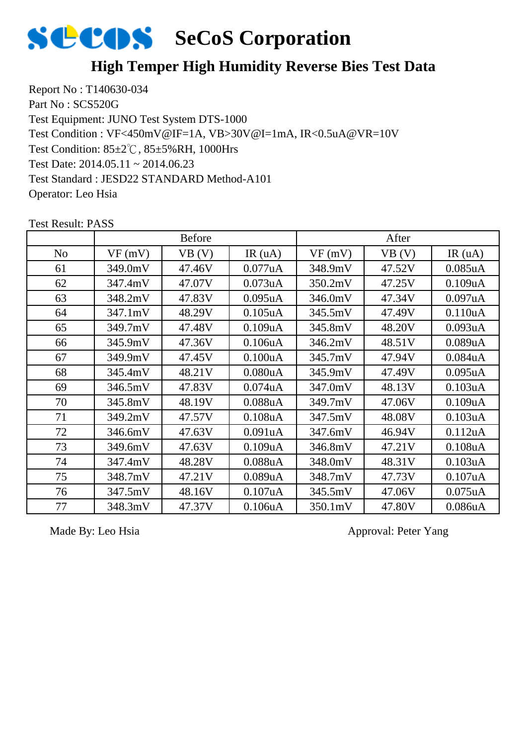

#### **High Temper High Humidity Reverse Bies Test Data**

Report No : T140630-034 Part No : SCS520G Test Equipment: JUNO Test System DTS-1000 Test Condition: 85±2℃, 85±5%RH, 1000Hrs Test Date: 2014.05.11 ~ 2014.06.23 Test Standard : JESD22 STANDARD Method-A101 Operator: Leo Hsia Test Condition : VF<450mV@IF=1A, VB>30V@I=1mA, IR<0.5uA@VR=10V

|                |         | <b>Before</b> |                      |         | After  |               |
|----------------|---------|---------------|----------------------|---------|--------|---------------|
| N <sub>o</sub> | VF(mV)  | VB (V)        | IR $(uA)$            | VF(mV)  | VB (V) | IR(uA)        |
| 61             | 349.0mV | 47.46V        | $0.077$ uA           | 348.9mV | 47.52V | $0.085$ uA    |
| 62             | 347.4mV | 47.07V        | 0.073uA              | 350.2mV | 47.25V | 0.109uA       |
| 63             | 348.2mV | 47.83V        | 0.095uA              | 346.0mV | 47.34V | 0.097uA       |
| 64             | 347.1mV | 48.29V        | $0.105$ uA           | 345.5mV | 47.49V | 0.110uA       |
| 65             | 349.7mV | 47.48V        | 0.109uA              | 345.8mV | 48.20V | 0.093uA       |
| 66             | 345.9mV | 47.36V        | 0.106uA              | 346.2mV | 48.51V | 0.089uA       |
| 67             | 349.9mV | 47.45V        | 0.100uA              | 345.7mV | 47.94V | 0.084uA       |
| 68             | 345.4mV | 48.21V        | 0.080uA              | 345.9mV | 47.49V | 0.095uA       |
| 69             | 346.5mV | 47.83V        | 0.074 <sub>u</sub> A | 347.0mV | 48.13V | 0.103uA       |
| 70             | 345.8mV | 48.19V        | 0.088uA              | 349.7mV | 47.06V | 0.109uA       |
| 71             | 349.2mV | 47.57V        | 0.108uA              | 347.5mV | 48.08V | 0.103uA       |
| 72             | 346.6mV | 47.63V        | 0.091uA              | 347.6mV | 46.94V | 0.112uA       |
| 73             | 349.6mV | 47.63V        | 0.109uA              | 346.8mV | 47.21V | 0.108uA       |
| 74             | 347.4mV | 48.28V        | $0.088$ uA           | 348.0mV | 48.31V | 0.103uA       |
| 75             | 348.7mV | 47.21V        | 0.089uA              | 348.7mV | 47.73V | 0.107uA       |
| 76             | 347.5mV | 48.16V        | 0.107uA              | 345.5mV | 47.06V | $0.075$ uA    |
| 77             | 348.3mV | 47.37V        | 0.106uA              | 350.1mV | 47.80V | $0.086$ u $A$ |

Test Result: PASS